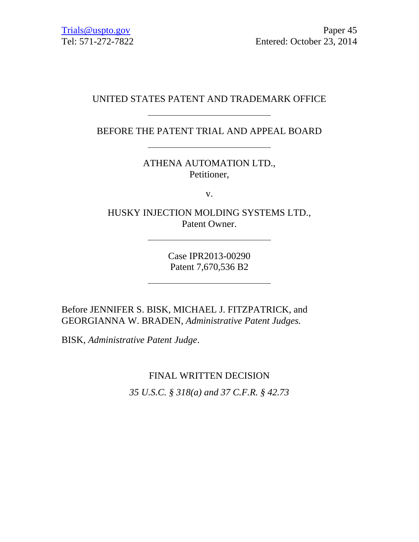## UNITED STATES PATENT AND TRADEMARK OFFICE

BEFORE THE PATENT TRIAL AND APPEAL BOARD

ATHENA AUTOMATION LTD., Petitioner,

v.

HUSKY INJECTION MOLDING SYSTEMS LTD., Patent Owner.

> Case IPR2013-00290 Patent 7,670,536 B2

Before JENNIFER S. BISK, MICHAEL J. FITZPATRICK, and GEORGIANNA W. BRADEN, *Administrative Patent Judges.*

BISK, *Administrative Patent Judge*.

FINAL WRITTEN DECISION

*35 U.S.C. § 318(a) and 37 C.F.R. § 42.73*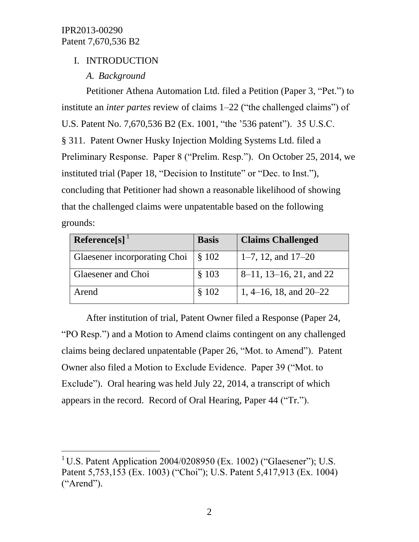l

## I. INTRODUCTION

## *A. Background*

Petitioner Athena Automation Ltd. filed a Petition (Paper 3, "Pet.") to institute an *inter partes* review of claims 1–22 ("the challenged claims") of U.S. Patent No. 7,670,536 B2 (Ex. 1001, "the '536 patent"). 35 U.S.C. § 311. Patent Owner Husky Injection Molding Systems Ltd. filed a Preliminary Response. Paper 8 ("Prelim. Resp."). On October 25, 2014, we instituted trial (Paper 18, "Decision to Institute" or "Dec. to Inst."), concluding that Petitioner had shown a reasonable likelihood of showing that the challenged claims were unpatentable based on the following grounds:

| Reference[s]                 | <b>Basis</b> | <b>Claims Challenged</b>    |
|------------------------------|--------------|-----------------------------|
| Glaesener incorporating Choi | \$102        | 1–7, 12, and $17-20$        |
| Glaesener and Choi           | \$103        | $8-11$ , 13-16, 21, and 22  |
| Arend                        | \$102        | 1, $4-16$ , 18, and $20-22$ |

After institution of trial, Patent Owner filed a Response (Paper 24, "PO Resp.") and a Motion to Amend claims contingent on any challenged claims being declared unpatentable (Paper 26, "Mot. to Amend"). Patent Owner also filed a Motion to Exclude Evidence. Paper 39 ("Mot. to Exclude"). Oral hearing was held July 22, 2014, a transcript of which appears in the record. Record of Oral Hearing, Paper 44 ("Tr.").

<sup>&</sup>lt;sup>1</sup> U.S. Patent Application 2004/0208950 (Ex. 1002) ("Glaesener"); U.S. Patent 5,753,153 (Ex. 1003) ("Choi"); U.S. Patent 5,417,913 (Ex. 1004) ("Arend").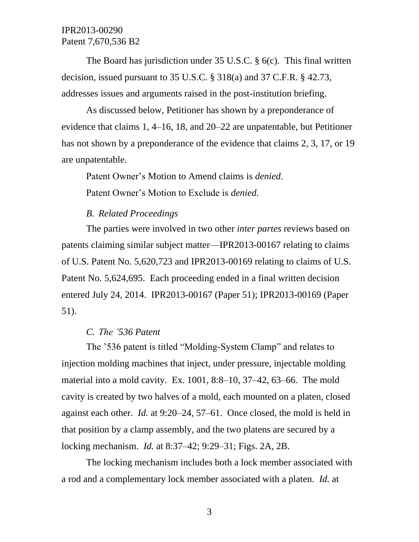The Board has jurisdiction under 35 U.S.C. § 6(c). This final written decision, issued pursuant to 35 U.S.C. § 318(a) and 37 C.F.R. § 42.73, addresses issues and arguments raised in the post-institution briefing.

As discussed below, Petitioner has shown by a preponderance of evidence that claims 1, 4–16, 18, and 20–22 are unpatentable, but Petitioner has not shown by a preponderance of the evidence that claims 2, 3, 17, or 19 are unpatentable.

Patent Owner's Motion to Amend claims is *denied*.

Patent Owner's Motion to Exclude is *denied.*

#### *B. Related Proceedings*

The parties were involved in two other *inter partes* reviews based on patents claiming similar subject matter—IPR2013-00167 relating to claims of U.S. Patent No. 5,620,723 and IPR2013-00169 relating to claims of U.S. Patent No. 5,624,695. Each proceeding ended in a final written decision entered July 24, 2014. IPR2013-00167 (Paper 51); IPR2013-00169 (Paper 51).

#### *C. The '536 Patent*

The '536 patent is titled "Molding-System Clamp" and relates to injection molding machines that inject, under pressure, injectable molding material into a mold cavity. Ex. 1001, 8:8–10, 37–42, 63–66. The mold cavity is created by two halves of a mold, each mounted on a platen, closed against each other. *Id.* at 9:20–24, 57–61. Once closed, the mold is held in that position by a clamp assembly, and the two platens are secured by a locking mechanism. *Id.* at 8:37–42; 9:29–31; Figs. 2A, 2B.

The locking mechanism includes both a lock member associated with a rod and a complementary lock member associated with a platen. *Id.* at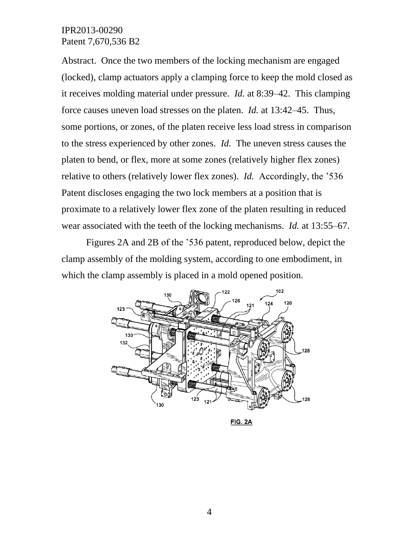Abstract. Once the two members of the locking mechanism are engaged (locked), clamp actuators apply a clamping force to keep the mold closed as it receives molding material under pressure. *Id.* at 8:39–42. This clamping force causes uneven load stresses on the platen. *Id.* at 13:42–45. Thus, some portions, or zones, of the platen receive less load stress in comparison to the stress experienced by other zones. *Id.* The uneven stress causes the platen to bend, or flex, more at some zones (relatively higher flex zones) relative to others (relatively lower flex zones). *Id.* Accordingly, the '536 Patent discloses engaging the two lock members at a position that is proximate to a relatively lower flex zone of the platen resulting in reduced wear associated with the teeth of the locking mechanisms. *Id.* at 13:55–67.

Figures 2A and 2B of the '536 patent, reproduced below, depict the clamp assembly of the molding system, according to one embodiment, in which the clamp assembly is placed in a mold opened position.



**FIG. 2A**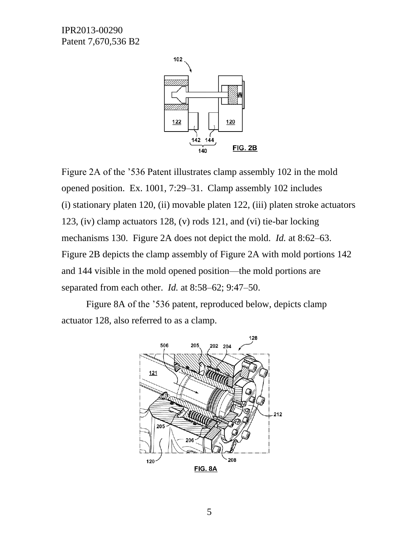

Figure 2A of the '536 Patent illustrates clamp assembly 102 in the mold opened position. Ex. 1001, 7:29–31. Clamp assembly 102 includes (i) stationary platen 120, (ii) movable platen 122, (iii) platen stroke actuators 123, (iv) clamp actuators 128, (v) rods 121, and (vi) tie-bar locking mechanisms 130. Figure 2A does not depict the mold. *Id.* at 8:62–63. Figure 2B depicts the clamp assembly of Figure 2A with mold portions 142 and 144 visible in the mold opened position—the mold portions are separated from each other. *Id.* at 8:58–62; 9:47–50.

Figure 8A of the '536 patent, reproduced below, depicts clamp actuator 128, also referred to as a clamp.

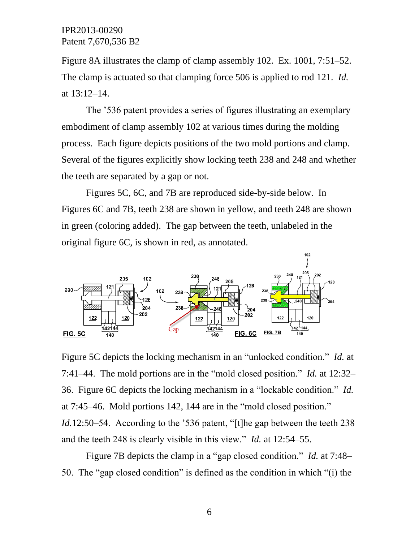Figure 8A illustrates the clamp of clamp assembly 102. Ex. 1001, 7:51–52. The clamp is actuated so that clamping force 506 is applied to rod 121. *Id.* at 13:12–14.

The '536 patent provides a series of figures illustrating an exemplary embodiment of clamp assembly 102 at various times during the molding process. Each figure depicts positions of the two mold portions and clamp. Several of the figures explicitly show locking teeth 238 and 248 and whether the teeth are separated by a gap or not.

Figures 5C, 6C, and 7B are reproduced side-by-side below. In Figures 6C and 7B, teeth 238 are shown in yellow, and teeth 248 are shown in green (coloring added). The gap between the teeth, unlabeled in the original figure 6C, is shown in red, as annotated.



Figure 5C depicts the locking mechanism in an "unlocked condition." *Id.* at 7:41–44. The mold portions are in the "mold closed position." *Id.* at 12:32– 36. Figure 6C depicts the locking mechanism in a "lockable condition." *Id.* at 7:45–46. Mold portions 142, 144 are in the "mold closed position." *Id.*12:50–54. According to the '536 patent, "[t]he gap between the teeth 238 and the teeth 248 is clearly visible in this view." *Id.* at 12:54–55.

Figure 7B depicts the clamp in a "gap closed condition." *Id.* at 7:48– 50. The "gap closed condition" is defined as the condition in which "(i) the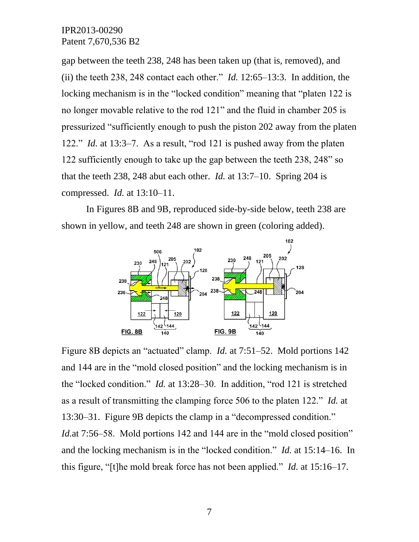gap between the teeth 238, 248 has been taken up (that is, removed), and (ii) the teeth 238, 248 contact each other." *Id.* 12:65–13:3. In addition, the locking mechanism is in the "locked condition" meaning that "platen 122 is no longer movable relative to the rod 121" and the fluid in chamber 205 is pressurized "sufficiently enough to push the piston 202 away from the platen 122." *Id.* at 13:3–7. As a result, "rod 121 is pushed away from the platen 122 sufficiently enough to take up the gap between the teeth 238, 248" so that the teeth 238, 248 abut each other. *Id.* at 13:7–10. Spring 204 is compressed. *Id.* at 13:10–11.

In Figures 8B and 9B, reproduced side-by-side below, teeth 238 are shown in yellow, and teeth 248 are shown in green (coloring added).



Figure 8B depicts an "actuated" clamp. *Id.* at 7:51–52. Mold portions 142 and 144 are in the "mold closed position" and the locking mechanism is in the "locked condition." *Id.* at 13:28–30. In addition, "rod 121 is stretched as a result of transmitting the clamping force 506 to the platen 122." *Id.* at 13:30–31. Figure 9B depicts the clamp in a "decompressed condition." *Id.at* 7:56–58. Mold portions 142 and 144 are in the "mold closed position" and the locking mechanism is in the "locked condition." *Id.* at 15:14–16. In this figure, "[t]he mold break force has not been applied." *Id.* at 15:16–17.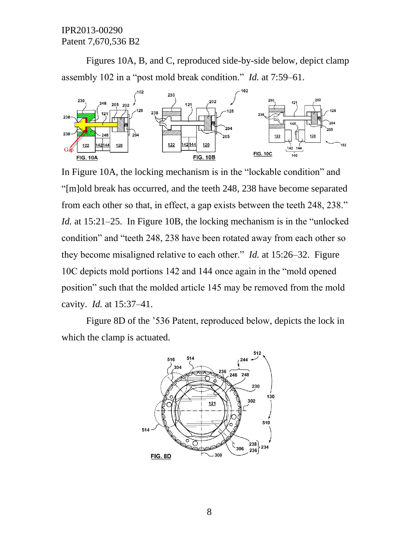Figures 10A, B, and C, reproduced side-by-side below, depict clamp assembly 102 in a "post mold break condition." *Id.* at 7:59–61.



In Figure 10A, the locking mechanism is in the "lockable condition" and "[m]old break has occurred, and the teeth 248, 238 have become separated from each other so that, in effect, a gap exists between the teeth 248, 238." *Id.* at 15:21–25. In Figure 10B, the locking mechanism is in the "unlocked" condition" and "teeth 248, 238 have been rotated away from each other so they become misaligned relative to each other." *Id.* at 15:26–32. Figure 10C depicts mold portions 142 and 144 once again in the "mold opened position" such that the molded article 145 may be removed from the mold cavity. *Id.* at 15:37–41.

Figure 8D of the '536 Patent, reproduced below, depicts the lock in which the clamp is actuated.

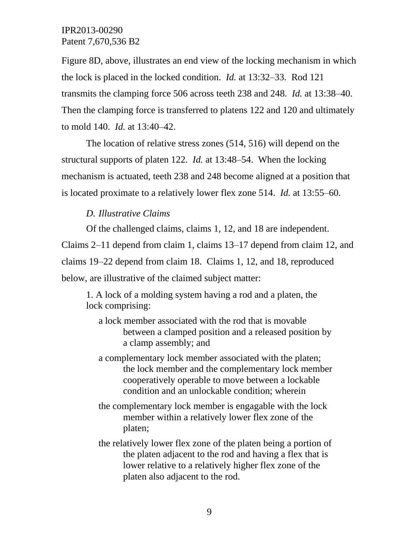Figure 8D, above, illustrates an end view of the locking mechanism in which the lock is placed in the locked condition. *Id.* at 13:32–33. Rod 121 transmits the clamping force 506 across teeth 238 and 248. *Id.* at 13:38–40. Then the clamping force is transferred to platens 122 and 120 and ultimately to mold 140. *Id.* at 13:40–42.

The location of relative stress zones (514, 516) will depend on the structural supports of platen 122. *Id.* at 13:48–54. When the locking mechanism is actuated, teeth 238 and 248 become aligned at a position that is located proximate to a relatively lower flex zone 514. *Id.* at 13:55–60.

#### *D. Illustrative Claims*

Of the challenged claims, claims 1, 12, and 18 are independent.

Claims 2–11 depend from claim 1, claims 13–17 depend from claim 12, and claims 19–22 depend from claim 18. Claims 1, 12, and 18, reproduced below, are illustrative of the claimed subject matter:

1. A lock of a molding system having a rod and a platen, the lock comprising:

- a lock member associated with the rod that is movable between a clamped position and a released position by a clamp assembly; and
- a complementary lock member associated with the platen; the lock member and the complementary lock member cooperatively operable to move between a lockable condition and an unlockable condition; wherein
- the complementary lock member is engagable with the lock member within a relatively lower flex zone of the platen;
- the relatively lower flex zone of the platen being a portion of the platen adjacent to the rod and having a flex that is lower relative to a relatively higher flex zone of the platen also adjacent to the rod.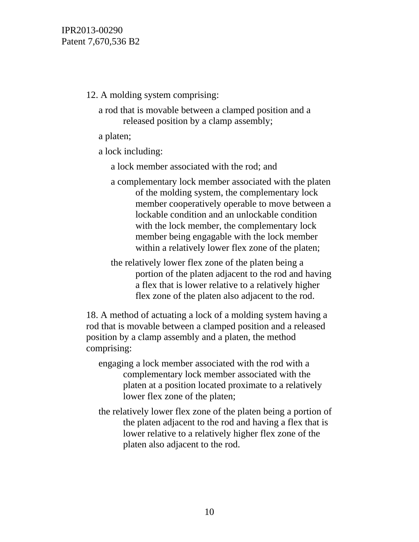12. A molding system comprising:

a rod that is movable between a clamped position and a released position by a clamp assembly;

a platen;

a lock including:

a lock member associated with the rod; and

a complementary lock member associated with the platen of the molding system, the complementary lock member cooperatively operable to move between a lockable condition and an unlockable condition with the lock member, the complementary lock member being engagable with the lock member within a relatively lower flex zone of the platen;

the relatively lower flex zone of the platen being a portion of the platen adjacent to the rod and having a flex that is lower relative to a relatively higher flex zone of the platen also adjacent to the rod.

18. A method of actuating a lock of a molding system having a rod that is movable between a clamped position and a released position by a clamp assembly and a platen, the method comprising:

- engaging a lock member associated with the rod with a complementary lock member associated with the platen at a position located proximate to a relatively lower flex zone of the platen;
- the relatively lower flex zone of the platen being a portion of the platen adjacent to the rod and having a flex that is lower relative to a relatively higher flex zone of the platen also adjacent to the rod.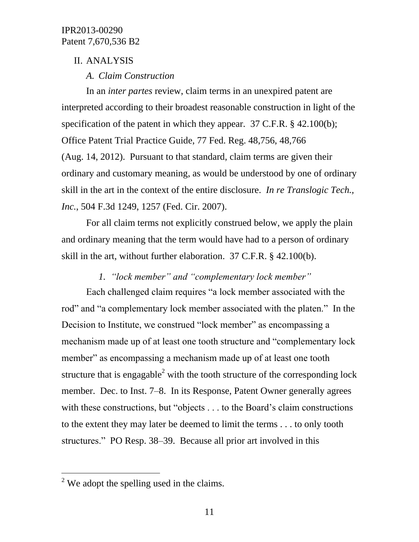### II. ANALYSIS

## *A. Claim Construction*

In an *inter partes* review, claim terms in an unexpired patent are interpreted according to their broadest reasonable construction in light of the specification of the patent in which they appear. 37 C.F.R. § 42.100(b); Office Patent Trial Practice Guide, 77 Fed. Reg. 48,756, 48,766 (Aug. 14, 2012). Pursuant to that standard, claim terms are given their ordinary and customary meaning, as would be understood by one of ordinary skill in the art in the context of the entire disclosure. *In re Translogic Tech., Inc.*, 504 F.3d 1249, 1257 (Fed. Cir. 2007).

For all claim terms not explicitly construed below, we apply the plain and ordinary meaning that the term would have had to a person of ordinary skill in the art, without further elaboration. 37 C.F.R. § 42.100(b).

# *1. "lock member" and "complementary lock member"*

Each challenged claim requires "a lock member associated with the rod" and "a complementary lock member associated with the platen." In the Decision to Institute, we construed "lock member" as encompassing a mechanism made up of at least one tooth structure and "complementary lock member" as encompassing a mechanism made up of at least one tooth structure that is engagable<sup>2</sup> with the tooth structure of the corresponding lock member. Dec. to Inst. 7–8. In its Response, Patent Owner generally agrees with these constructions, but "objects . . . to the Board's claim constructions" to the extent they may later be deemed to limit the terms . . . to only tooth structures." PO Resp. 38–39. Because all prior art involved in this

 $\overline{a}$ 

 $2$  We adopt the spelling used in the claims.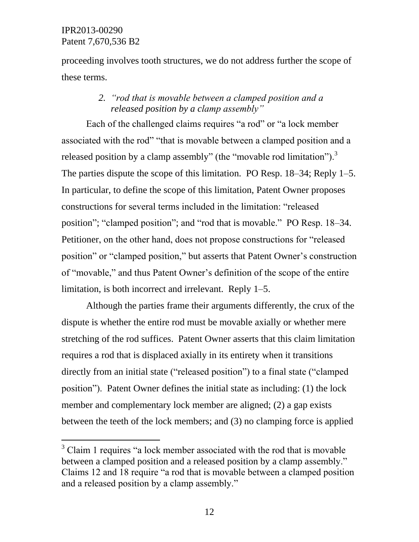l

proceeding involves tooth structures, we do not address further the scope of these terms.

## *2. "rod that is movable between a clamped position and a released position by a clamp assembly"*

Each of the challenged claims requires "a rod" or "a lock member associated with the rod" "that is movable between a clamped position and a released position by a clamp assembly" (the "movable rod limitation").<sup>3</sup> The parties dispute the scope of this limitation. PO Resp. 18–34; Reply 1–5. In particular, to define the scope of this limitation, Patent Owner proposes constructions for several terms included in the limitation: "released position"; "clamped position"; and "rod that is movable." PO Resp. 18–34. Petitioner, on the other hand, does not propose constructions for "released position" or "clamped position," but asserts that Patent Owner's construction of "movable," and thus Patent Owner's definition of the scope of the entire limitation, is both incorrect and irrelevant. Reply 1–5.

Although the parties frame their arguments differently, the crux of the dispute is whether the entire rod must be movable axially or whether mere stretching of the rod suffices. Patent Owner asserts that this claim limitation requires a rod that is displaced axially in its entirety when it transitions directly from an initial state ("released position") to a final state ("clamped position"). Patent Owner defines the initial state as including: (1) the lock member and complementary lock member are aligned; (2) a gap exists between the teeth of the lock members; and (3) no clamping force is applied

<sup>&</sup>lt;sup>3</sup> Claim 1 requires "a lock member associated with the rod that is movable between a clamped position and a released position by a clamp assembly." Claims 12 and 18 require "a rod that is movable between a clamped position and a released position by a clamp assembly."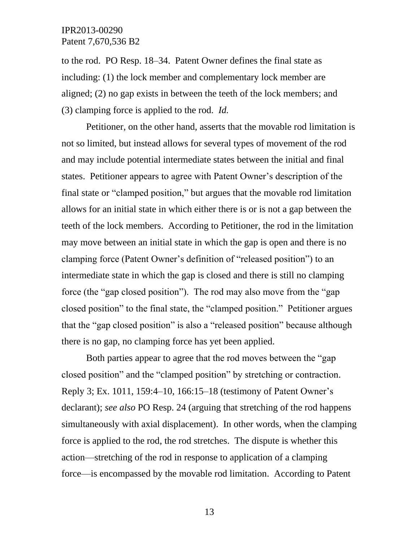to the rod. PO Resp. 18–34. Patent Owner defines the final state as including: (1) the lock member and complementary lock member are aligned; (2) no gap exists in between the teeth of the lock members; and (3) clamping force is applied to the rod. *Id.*

Petitioner, on the other hand, asserts that the movable rod limitation is not so limited, but instead allows for several types of movement of the rod and may include potential intermediate states between the initial and final states. Petitioner appears to agree with Patent Owner's description of the final state or "clamped position," but argues that the movable rod limitation allows for an initial state in which either there is or is not a gap between the teeth of the lock members. According to Petitioner, the rod in the limitation may move between an initial state in which the gap is open and there is no clamping force (Patent Owner's definition of "released position") to an intermediate state in which the gap is closed and there is still no clamping force (the "gap closed position"). The rod may also move from the "gap closed position" to the final state, the "clamped position." Petitioner argues that the "gap closed position" is also a "released position" because although there is no gap, no clamping force has yet been applied.

Both parties appear to agree that the rod moves between the "gap closed position" and the "clamped position" by stretching or contraction. Reply 3; Ex. 1011, 159:4–10, 166:15–18 (testimony of Patent Owner's declarant); *see also* PO Resp. 24 (arguing that stretching of the rod happens simultaneously with axial displacement). In other words, when the clamping force is applied to the rod, the rod stretches. The dispute is whether this action—stretching of the rod in response to application of a clamping force—is encompassed by the movable rod limitation. According to Patent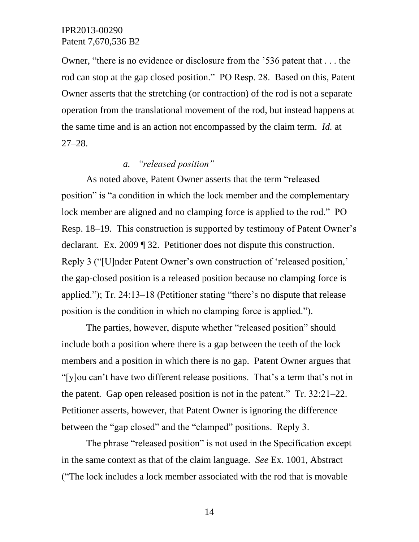Owner, "there is no evidence or disclosure from the '536 patent that . . . the rod can stop at the gap closed position." PO Resp. 28. Based on this, Patent Owner asserts that the stretching (or contraction) of the rod is not a separate operation from the translational movement of the rod, but instead happens at the same time and is an action not encompassed by the claim term. *Id.* at 27–28.

## *a. "released position"*

As noted above, Patent Owner asserts that the term "released position" is "a condition in which the lock member and the complementary lock member are aligned and no clamping force is applied to the rod." PO Resp. 18–19. This construction is supported by testimony of Patent Owner's declarant. Ex. 2009 ¶ 32. Petitioner does not dispute this construction. Reply 3 ("[U]nder Patent Owner's own construction of 'released position,' the gap-closed position is a released position because no clamping force is applied."); Tr. 24:13–18 (Petitioner stating "there's no dispute that release position is the condition in which no clamping force is applied.").

The parties, however, dispute whether "released position" should include both a position where there is a gap between the teeth of the lock members and a position in which there is no gap. Patent Owner argues that "[y]ou can't have two different release positions. That's a term that's not in the patent. Gap open released position is not in the patent." Tr. 32:21–22. Petitioner asserts, however, that Patent Owner is ignoring the difference between the "gap closed" and the "clamped" positions. Reply 3.

The phrase "released position" is not used in the Specification except in the same context as that of the claim language. *See* Ex. 1001, Abstract ("The lock includes a lock member associated with the rod that is movable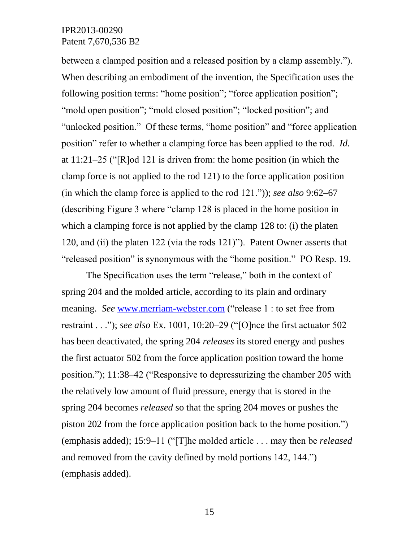between a clamped position and a released position by a clamp assembly."). When describing an embodiment of the invention, the Specification uses the following position terms: "home position"; "force application position"; "mold open position"; "mold closed position"; "locked position"; and "unlocked position." Of these terms, "home position" and "force application position" refer to whether a clamping force has been applied to the rod. *Id.* at 11:21–25 ("[R]od 121 is driven from: the home position (in which the clamp force is not applied to the rod 121) to the force application position (in which the clamp force is applied to the rod 121.")); *see also* 9:62–67 (describing Figure 3 where "clamp 128 is placed in the home position in which a clamping force is not applied by the clamp 128 to: (i) the platen 120, and (ii) the platen 122 (via the rods 121)"). Patent Owner asserts that "released position" is synonymous with the "home position." PO Resp. 19.

The Specification uses the term "release," both in the context of spring 204 and the molded article, according to its plain and ordinary meaning. *See* [www.merriam-webster.com](http://www.merriam-webster.com/) ("release 1 : to set free from restraint . . ."); *see also* Ex. 1001, 10:20–29 ("[O]nce the first actuator 502 has been deactivated, the spring 204 *releases* its stored energy and pushes the first actuator 502 from the force application position toward the home position."); 11:38–42 ("Responsive to depressurizing the chamber 205 with the relatively low amount of fluid pressure, energy that is stored in the spring 204 becomes *released* so that the spring 204 moves or pushes the piston 202 from the force application position back to the home position.") (emphasis added); 15:9–11 ("[T]he molded article . . . may then be *released* and removed from the cavity defined by mold portions 142, 144.") (emphasis added).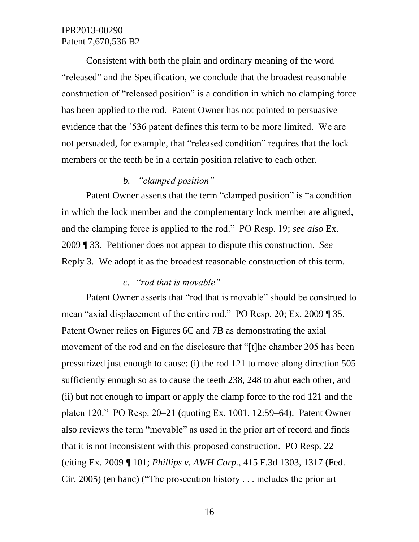Consistent with both the plain and ordinary meaning of the word "released" and the Specification, we conclude that the broadest reasonable construction of "released position" is a condition in which no clamping force has been applied to the rod. Patent Owner has not pointed to persuasive evidence that the '536 patent defines this term to be more limited. We are not persuaded, for example, that "released condition" requires that the lock members or the teeth be in a certain position relative to each other.

## *b. "clamped position"*

Patent Owner asserts that the term "clamped position" is "a condition in which the lock member and the complementary lock member are aligned, and the clamping force is applied to the rod." PO Resp. 19; *see also* Ex. 2009 ¶ 33. Petitioner does not appear to dispute this construction. *See*  Reply 3. We adopt it as the broadest reasonable construction of this term.

#### *c. "rod that is movable"*

Patent Owner asserts that "rod that is movable" should be construed to mean "axial displacement of the entire rod." PO Resp. 20; Ex. 2009 ¶ 35. Patent Owner relies on Figures 6C and 7B as demonstrating the axial movement of the rod and on the disclosure that "[t]he chamber 205 has been pressurized just enough to cause: (i) the rod 121 to move along direction 505 sufficiently enough so as to cause the teeth 238, 248 to abut each other, and (ii) but not enough to impart or apply the clamp force to the rod 121 and the platen 120." PO Resp. 20–21 (quoting Ex. 1001, 12:59–64). Patent Owner also reviews the term "movable" as used in the prior art of record and finds that it is not inconsistent with this proposed construction. PO Resp. 22 (citing Ex. 2009 ¶ 101; *Phillips v. AWH Corp.,* 415 F.3d 1303, 1317 (Fed. Cir. 2005) (en banc) ("The prosecution history . . . includes the prior art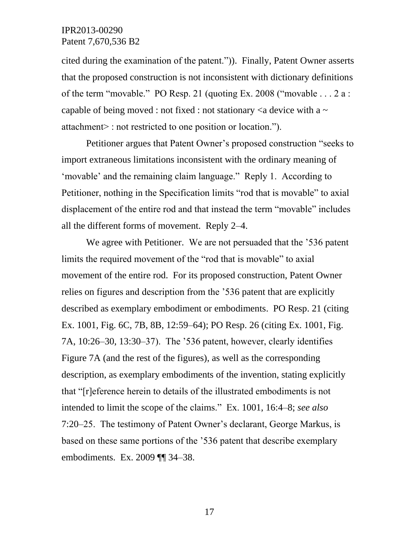cited during the examination of the patent.")). Finally, Patent Owner asserts that the proposed construction is not inconsistent with dictionary definitions of the term "movable." PO Resp. 21 (quoting Ex. 2008 ("movable . . . 2 a : capable of being moved : not fixed : not stationary  $\langle a \rangle$  device with a  $\sim$ attachment> : not restricted to one position or location.").

Petitioner argues that Patent Owner's proposed construction "seeks to import extraneous limitations inconsistent with the ordinary meaning of 'movable' and the remaining claim language." Reply 1. According to Petitioner, nothing in the Specification limits "rod that is movable" to axial displacement of the entire rod and that instead the term "movable" includes all the different forms of movement. Reply 2–4.

We agree with Petitioner. We are not persuaded that the '536 patent' limits the required movement of the "rod that is movable" to axial movement of the entire rod. For its proposed construction, Patent Owner relies on figures and description from the '536 patent that are explicitly described as exemplary embodiment or embodiments. PO Resp. 21 (citing Ex. 1001, Fig. 6C, 7B, 8B, 12:59–64); PO Resp. 26 (citing Ex. 1001, Fig. 7A, 10:26–30, 13:30–37). The '536 patent, however, clearly identifies Figure 7A (and the rest of the figures), as well as the corresponding description, as exemplary embodiments of the invention, stating explicitly that "[r]eference herein to details of the illustrated embodiments is not intended to limit the scope of the claims." Ex. 1001, 16:4–8; *see also*  7:20–25. The testimony of Patent Owner's declarant, George Markus, is based on these same portions of the '536 patent that describe exemplary embodiments. Ex. 2009 ¶¶ 34–38.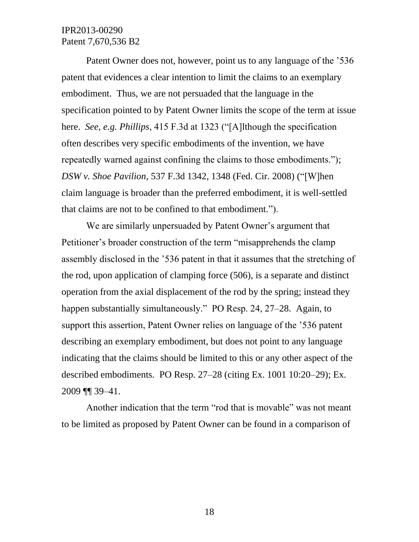Patent Owner does not, however, point us to any language of the '536 patent that evidences a clear intention to limit the claims to an exemplary embodiment. Thus, we are not persuaded that the language in the specification pointed to by Patent Owner limits the scope of the term at issue here. *See, e.g. Phillips*, 415 F.3d at 1323 ("[A]lthough the specification often describes very specific embodiments of the invention, we have repeatedly warned against confining the claims to those embodiments."); *DSW v. Shoe Pavilion*, 537 F.3d 1342, 1348 (Fed. Cir. 2008) ("[W]hen claim language is broader than the preferred embodiment, it is well-settled that claims are not to be confined to that embodiment.").

We are similarly unpersuaded by Patent Owner's argument that Petitioner's broader construction of the term "misapprehends the clamp assembly disclosed in the '536 patent in that it assumes that the stretching of the rod, upon application of clamping force (506), is a separate and distinct operation from the axial displacement of the rod by the spring; instead they happen substantially simultaneously." PO Resp. 24, 27–28. Again, to support this assertion, Patent Owner relies on language of the '536 patent describing an exemplary embodiment, but does not point to any language indicating that the claims should be limited to this or any other aspect of the described embodiments. PO Resp. 27–28 (citing Ex. 1001 10:20–29); Ex. 2009 ¶¶ 39–41.

Another indication that the term "rod that is movable" was not meant to be limited as proposed by Patent Owner can be found in a comparison of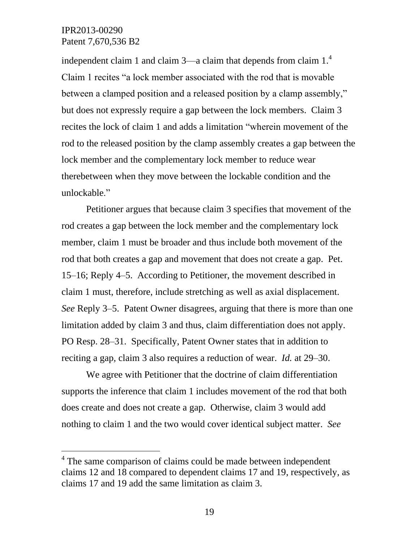l

independent claim 1 and claim  $3$ —a claim that depends from claim  $1<sup>4</sup>$ Claim 1 recites "a lock member associated with the rod that is movable between a clamped position and a released position by a clamp assembly," but does not expressly require a gap between the lock members. Claim 3 recites the lock of claim 1 and adds a limitation "wherein movement of the rod to the released position by the clamp assembly creates a gap between the lock member and the complementary lock member to reduce wear therebetween when they move between the lockable condition and the unlockable."

Petitioner argues that because claim 3 specifies that movement of the rod creates a gap between the lock member and the complementary lock member, claim 1 must be broader and thus include both movement of the rod that both creates a gap and movement that does not create a gap. Pet. 15–16; Reply 4–5. According to Petitioner, the movement described in claim 1 must, therefore, include stretching as well as axial displacement. *See* Reply 3–5. Patent Owner disagrees, arguing that there is more than one limitation added by claim 3 and thus, claim differentiation does not apply. PO Resp. 28–31. Specifically, Patent Owner states that in addition to reciting a gap, claim 3 also requires a reduction of wear. *Id.* at 29–30.

We agree with Petitioner that the doctrine of claim differentiation supports the inference that claim 1 includes movement of the rod that both does create and does not create a gap. Otherwise, claim 3 would add nothing to claim 1 and the two would cover identical subject matter. *See* 

<sup>&</sup>lt;sup>4</sup> The same comparison of claims could be made between independent claims 12 and 18 compared to dependent claims 17 and 19, respectively, as claims 17 and 19 add the same limitation as claim 3.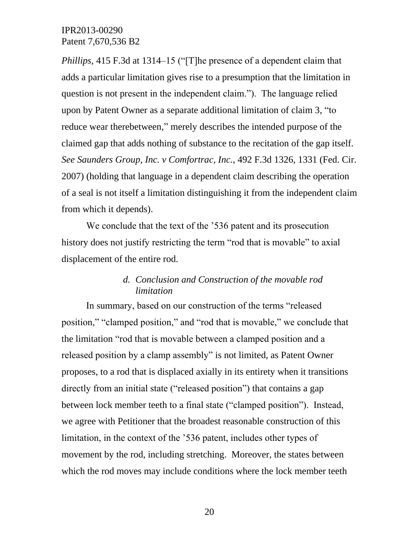*Phillips,* 415 F.3d at 1314–15 ("[T]he presence of a dependent claim that adds a particular limitation gives rise to a presumption that the limitation in question is not present in the independent claim."). The language relied upon by Patent Owner as a separate additional limitation of claim 3, "to reduce wear therebetween," merely describes the intended purpose of the claimed gap that adds nothing of substance to the recitation of the gap itself. *See Saunders Group, Inc. v Comfortrac, Inc.*, 492 F.3d 1326, 1331 (Fed. Cir. 2007) (holding that language in a dependent claim describing the operation of a seal is not itself a limitation distinguishing it from the independent claim from which it depends).

We conclude that the text of the '536 patent and its prosecution history does not justify restricting the term "rod that is movable" to axial displacement of the entire rod.

### *d. Conclusion and Construction of the movable rod limitation*

In summary, based on our construction of the terms "released position," "clamped position," and "rod that is movable," we conclude that the limitation "rod that is movable between a clamped position and a released position by a clamp assembly" is not limited, as Patent Owner proposes, to a rod that is displaced axially in its entirety when it transitions directly from an initial state ("released position") that contains a gap between lock member teeth to a final state ("clamped position"). Instead, we agree with Petitioner that the broadest reasonable construction of this limitation, in the context of the '536 patent, includes other types of movement by the rod, including stretching. Moreover, the states between which the rod moves may include conditions where the lock member teeth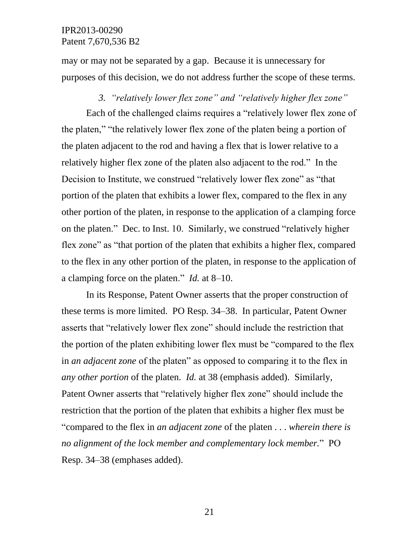may or may not be separated by a gap. Because it is unnecessary for purposes of this decision, we do not address further the scope of these terms.

#### *3. "relatively lower flex zone" and "relatively higher flex zone"*

Each of the challenged claims requires a "relatively lower flex zone of the platen," "the relatively lower flex zone of the platen being a portion of the platen adjacent to the rod and having a flex that is lower relative to a relatively higher flex zone of the platen also adjacent to the rod." In the Decision to Institute, we construed "relatively lower flex zone" as "that portion of the platen that exhibits a lower flex, compared to the flex in any other portion of the platen, in response to the application of a clamping force on the platen." Dec. to Inst. 10. Similarly, we construed "relatively higher flex zone" as "that portion of the platen that exhibits a higher flex, compared to the flex in any other portion of the platen, in response to the application of a clamping force on the platen." *Id.* at 8–10.

In its Response, Patent Owner asserts that the proper construction of these terms is more limited. PO Resp. 34–38. In particular, Patent Owner asserts that "relatively lower flex zone" should include the restriction that the portion of the platen exhibiting lower flex must be "compared to the flex in *an adjacent zone* of the platen" as opposed to comparing it to the flex in *any other portion* of the platen. *Id.* at 38 (emphasis added). Similarly, Patent Owner asserts that "relatively higher flex zone" should include the restriction that the portion of the platen that exhibits a higher flex must be "compared to the flex in *an adjacent zone* of the platen . . . *wherein there is no alignment of the lock member and complementary lock member.*" PO Resp. 34–38 (emphases added).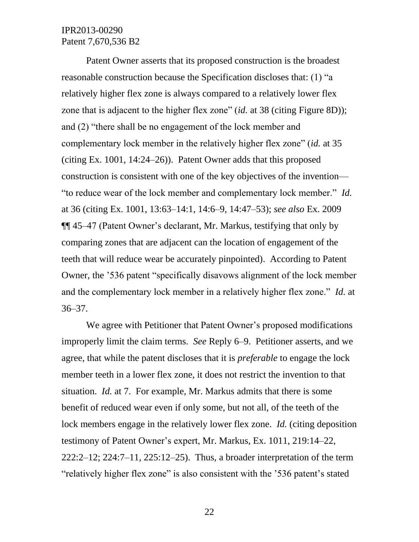Patent Owner asserts that its proposed construction is the broadest reasonable construction because the Specification discloses that: (1) "a relatively higher flex zone is always compared to a relatively lower flex zone that is adjacent to the higher flex zone" (*id.* at 38 (citing Figure 8D)); and (2) "there shall be no engagement of the lock member and complementary lock member in the relatively higher flex zone" (*id.* at 35 (citing Ex. 1001, 14:24–26)). Patent Owner adds that this proposed construction is consistent with one of the key objectives of the invention— "to reduce wear of the lock member and complementary lock member." *Id.* at 36 (citing Ex. 1001, 13:63–14:1, 14:6–9, 14:47–53); *see also* Ex. 2009 ¶¶ 45–47 (Patent Owner's declarant, Mr. Markus, testifying that only by comparing zones that are adjacent can the location of engagement of the teeth that will reduce wear be accurately pinpointed). According to Patent Owner, the '536 patent "specifically disavows alignment of the lock member and the complementary lock member in a relatively higher flex zone." *Id.* at 36–37.

We agree with Petitioner that Patent Owner's proposed modifications improperly limit the claim terms. *See* Reply 6–9. Petitioner asserts, and we agree, that while the patent discloses that it is *preferable* to engage the lock member teeth in a lower flex zone, it does not restrict the invention to that situation. *Id.* at 7. For example, Mr. Markus admits that there is some benefit of reduced wear even if only some, but not all, of the teeth of the lock members engage in the relatively lower flex zone. *Id.* (citing deposition testimony of Patent Owner's expert, Mr. Markus, Ex. 1011, 219:14–22, 222:2–12; 224:7–11, 225:12–25). Thus, a broader interpretation of the term "relatively higher flex zone" is also consistent with the '536 patent's stated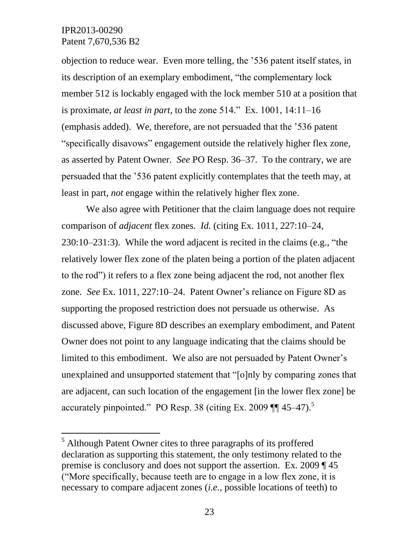l

objection to reduce wear. Even more telling, the '536 patent itself states, in its description of an exemplary embodiment, "the complementary lock member 512 is lockably engaged with the lock member 510 at a position that is proximate, *at least in part*, to the zone 514." Ex. 1001, 14:11–16 (emphasis added). We, therefore, are not persuaded that the '536 patent "specifically disavows" engagement outside the relatively higher flex zone, as asserted by Patent Owner. *See* PO Resp. 36–37. To the contrary, we are persuaded that the '536 patent explicitly contemplates that the teeth may, at least in part, *not* engage within the relatively higher flex zone.

We also agree with Petitioner that the claim language does not require comparison of *adjacent* flex zones. *Id.* (citing Ex. 1011, 227:10–24, 230:10–231:3). While the word adjacent is recited in the claims (e.g., "the relatively lower flex zone of the platen being a portion of the platen adjacent to the rod") it refers to a flex zone being adjacent the rod, not another flex zone. *See* Ex. 1011, 227:10–24. Patent Owner's reliance on Figure 8D as supporting the proposed restriction does not persuade us otherwise. As discussed above, Figure 8D describes an exemplary embodiment, and Patent Owner does not point to any language indicating that the claims should be limited to this embodiment. We also are not persuaded by Patent Owner's unexplained and unsupported statement that "[o]nly by comparing zones that are adjacent, can such location of the engagement [in the lower flex zone] be accurately pinpointed." PO Resp. 38 (citing Ex. 2009  $\P$  45–47).<sup>5</sup>

<sup>5</sup> Although Patent Owner cites to three paragraphs of its proffered declaration as supporting this statement, the only testimony related to the premise is conclusory and does not support the assertion. Ex. 2009 ¶ 45 ("More specifically, because teeth are to engage in a low flex zone, it is necessary to compare adjacent zones (*i.e.*, possible locations of teeth) to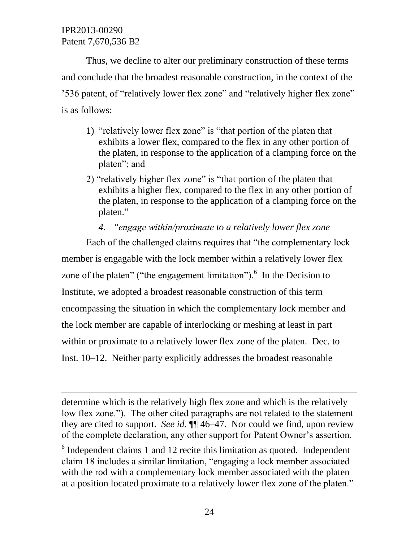$\overline{a}$ 

Thus, we decline to alter our preliminary construction of these terms and conclude that the broadest reasonable construction, in the context of the '536 patent, of "relatively lower flex zone" and "relatively higher flex zone" is as follows:

- 1) "relatively lower flex zone" is "that portion of the platen that exhibits a lower flex, compared to the flex in any other portion of the platen, in response to the application of a clamping force on the platen"; and
- 2) "relatively higher flex zone" is "that portion of the platen that exhibits a higher flex, compared to the flex in any other portion of the platen, in response to the application of a clamping force on the platen."
	- *4. "engage within/proximate to a relatively lower flex zone*

Each of the challenged claims requires that "the complementary lock member is engagable with the lock member within a relatively lower flex zone of the platen" ("the engagement limitation"). $<sup>6</sup>$  In the Decision to</sup> Institute, we adopted a broadest reasonable construction of this term encompassing the situation in which the complementary lock member and the lock member are capable of interlocking or meshing at least in part within or proximate to a relatively lower flex zone of the platen. Dec. to Inst. 10–12. Neither party explicitly addresses the broadest reasonable

determine which is the relatively high flex zone and which is the relatively low flex zone."). The other cited paragraphs are not related to the statement they are cited to support. *See id.* ¶¶ 46–47. Nor could we find, upon review of the complete declaration, any other support for Patent Owner's assertion.

 $6$  Independent claims 1 and 12 recite this limitation as quoted. Independent claim 18 includes a similar limitation, "engaging a lock member associated with the rod with a complementary lock member associated with the platen at a position located proximate to a relatively lower flex zone of the platen."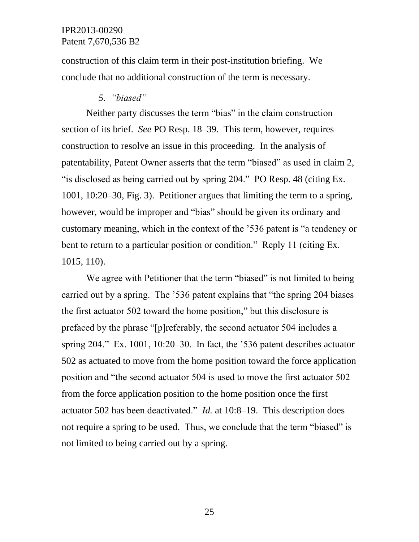construction of this claim term in their post-institution briefing. We conclude that no additional construction of the term is necessary.

#### *5. "biased"*

Neither party discusses the term "bias" in the claim construction section of its brief. *See* PO Resp. 18–39. This term, however, requires construction to resolve an issue in this proceeding. In the analysis of patentability, Patent Owner asserts that the term "biased" as used in claim 2, "is disclosed as being carried out by spring 204." PO Resp. 48 (citing Ex. 1001, 10:20–30, Fig. 3). Petitioner argues that limiting the term to a spring, however, would be improper and "bias" should be given its ordinary and customary meaning, which in the context of the '536 patent is "a tendency or bent to return to a particular position or condition." Reply 11 (citing Ex. 1015, 110).

We agree with Petitioner that the term "biased" is not limited to being carried out by a spring. The '536 patent explains that "the spring 204 biases the first actuator 502 toward the home position," but this disclosure is prefaced by the phrase "[p]referably, the second actuator 504 includes a spring 204." Ex. 1001, 10:20–30. In fact, the '536 patent describes actuator 502 as actuated to move from the home position toward the force application position and "the second actuator 504 is used to move the first actuator 502 from the force application position to the home position once the first actuator 502 has been deactivated." *Id.* at 10:8–19. This description does not require a spring to be used. Thus, we conclude that the term "biased" is not limited to being carried out by a spring.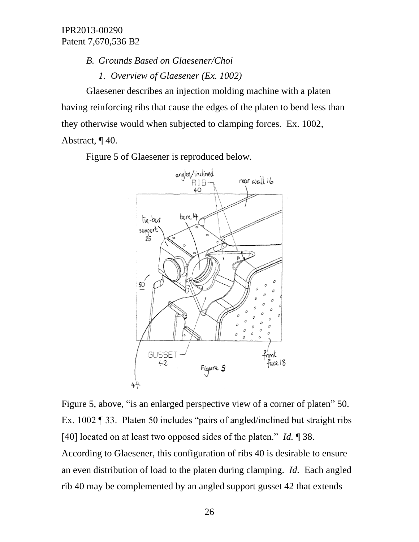*B. Grounds Based on Glaesener/Choi*

*1. Overview of Glaesener (Ex. 1002)*

Glaesener describes an injection molding machine with a platen having reinforcing ribs that cause the edges of the platen to bend less than they otherwise would when subjected to clamping forces. Ex. 1002,

Abstract, ¶ 40.

Figure 5 of Glaesener is reproduced below.



Figure 5, above, "is an enlarged perspective view of a corner of platen" 50. Ex. 1002 ¶ 33. Platen 50 includes "pairs of angled/inclined but straight ribs [40] located on at least two opposed sides of the platen." *Id.* ¶ 38. According to Glaesener, this configuration of ribs 40 is desirable to ensure an even distribution of load to the platen during clamping. *Id.* Each angled rib 40 may be complemented by an angled support gusset 42 that extends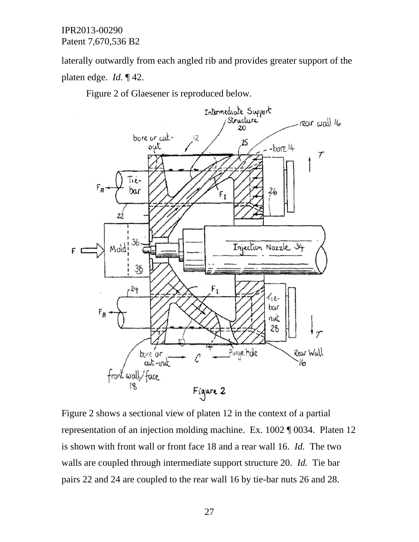laterally outwardly from each angled rib and provides greater support of the platen edge. *Id.* ¶ 42.

Figure 2 of Glaesener is reproduced below.



Figure 2 shows a sectional view of platen 12 in the context of a partial representation of an injection molding machine. Ex. 1002 ¶ 0034. Platen 12 is shown with front wall or front face 18 and a rear wall 16. *Id.* The two walls are coupled through intermediate support structure 20. *Id.* Tie bar pairs 22 and 24 are coupled to the rear wall 16 by tie-bar nuts 26 and 28.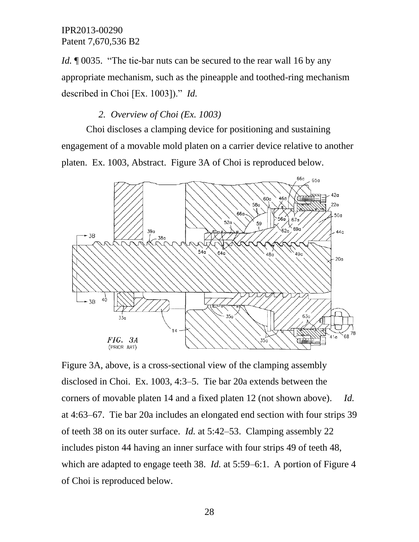*Id.* **[0035.** "The tie-bar nuts can be secured to the rear wall 16 by any appropriate mechanism, such as the pineapple and toothed-ring mechanism described in Choi [Ex. 1003])." *Id.*

## *2. Overview of Choi (Ex. 1003)*

Choi discloses a clamping device for positioning and sustaining engagement of a movable mold platen on a carrier device relative to another platen. Ex. 1003, Abstract. Figure 3A of Choi is reproduced below.



Figure 3A, above, is a cross-sectional view of the clamping assembly disclosed in Choi. Ex. 1003, 4:3–5. Tie bar 20a extends between the corners of movable platen 14 and a fixed platen 12 (not shown above). *Id.*  at 4:63–67. Tie bar 20a includes an elongated end section with four strips 39 of teeth 38 on its outer surface. *Id.* at 5:42–53. Clamping assembly 22 includes piston 44 having an inner surface with four strips 49 of teeth 48, which are adapted to engage teeth 38. *Id.* at 5:59–6:1. A portion of Figure 4 of Choi is reproduced below.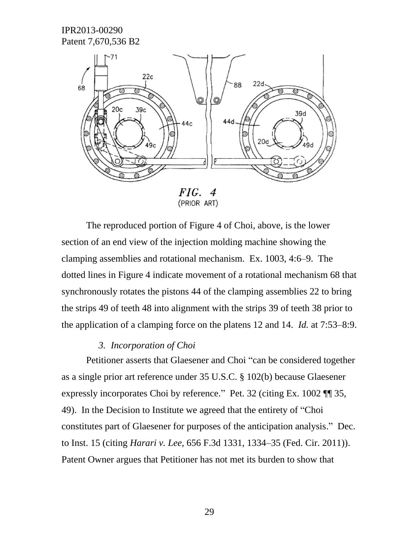

The reproduced portion of Figure 4 of Choi, above, is the lower section of an end view of the injection molding machine showing the clamping assemblies and rotational mechanism. Ex. 1003, 4:6–9. The dotted lines in Figure 4 indicate movement of a rotational mechanism 68 that synchronously rotates the pistons 44 of the clamping assemblies 22 to bring the strips 49 of teeth 48 into alignment with the strips 39 of teeth 38 prior to the application of a clamping force on the platens 12 and 14. *Id.* at 7:53–8:9.

#### *3. Incorporation of Choi*

Petitioner asserts that Glaesener and Choi "can be considered together as a single prior art reference under 35 U.S.C. § 102(b) because Glaesener expressly incorporates Choi by reference." Pet. 32 (citing Ex. 1002 ¶¶ 35, 49). In the Decision to Institute we agreed that the entirety of "Choi constitutes part of Glaesener for purposes of the anticipation analysis." Dec. to Inst. 15 (citing *Harari v. Lee*, 656 F.3d 1331, 1334–35 (Fed. Cir. 2011)). Patent Owner argues that Petitioner has not met its burden to show that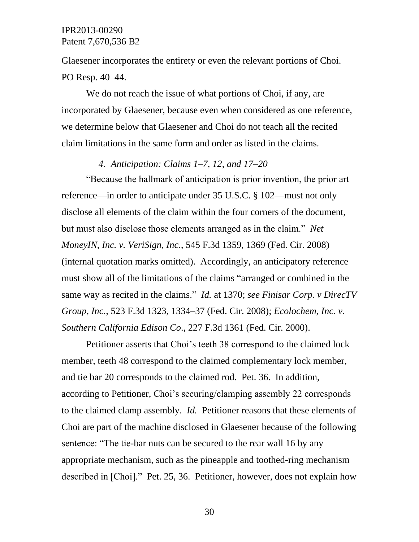Glaesener incorporates the entirety or even the relevant portions of Choi. PO Resp. 40–44.

We do not reach the issue of what portions of Choi, if any, are incorporated by Glaesener, because even when considered as one reference, we determine below that Glaesener and Choi do not teach all the recited claim limitations in the same form and order as listed in the claims.

### *4. Anticipation: Claims 1–7, 12, and 17–20*

"Because the hallmark of anticipation is prior invention, the prior art reference—in order to anticipate under 35 U.S.C. § 102—must not only disclose all elements of the claim within the four corners of the document, but must also disclose those elements arranged as in the claim." *Net MoneyIN, Inc. v. VeriSign, Inc.*, 545 F.3d 1359, 1369 (Fed. Cir. 2008) (internal quotation marks omitted). Accordingly, an anticipatory reference must show all of the limitations of the claims "arranged or combined in the same way as recited in the claims." *Id.* at 1370; *see Finisar Corp. v DirecTV Group, Inc.*, 523 F.3d 1323, 1334–37 (Fed. Cir. 2008); *Ecolochem, Inc. v. Southern California Edison Co*., 227 F.3d 1361 (Fed. Cir. 2000).

Petitioner asserts that Choi's teeth 38 correspond to the claimed lock member, teeth 48 correspond to the claimed complementary lock member, and tie bar 20 corresponds to the claimed rod. Pet. 36. In addition, according to Petitioner, Choi's securing/clamping assembly 22 corresponds to the claimed clamp assembly. *Id.* Petitioner reasons that these elements of Choi are part of the machine disclosed in Glaesener because of the following sentence: "The tie-bar nuts can be secured to the rear wall 16 by any appropriate mechanism, such as the pineapple and toothed-ring mechanism described in [Choi]." Pet. 25, 36. Petitioner, however, does not explain how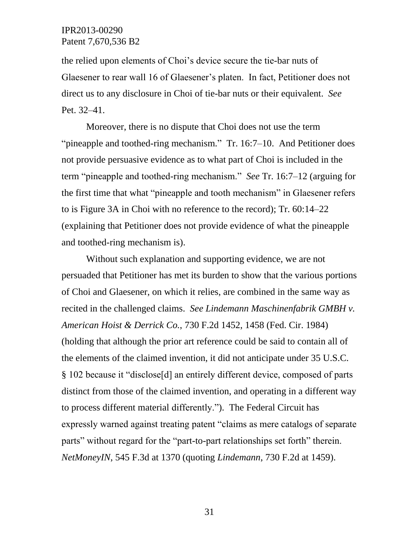the relied upon elements of Choi's device secure the tie-bar nuts of Glaesener to rear wall 16 of Glaesener's platen. In fact, Petitioner does not direct us to any disclosure in Choi of tie-bar nuts or their equivalent. *See*  Pet. 32–41.

Moreover, there is no dispute that Choi does not use the term "pineapple and toothed-ring mechanism." Tr. 16:7–10. And Petitioner does not provide persuasive evidence as to what part of Choi is included in the term "pineapple and toothed-ring mechanism." *See* Tr. 16:7–12 (arguing for the first time that what "pineapple and tooth mechanism" in Glaesener refers to is Figure 3A in Choi with no reference to the record); Tr. 60:14–22 (explaining that Petitioner does not provide evidence of what the pineapple and toothed-ring mechanism is).

Without such explanation and supporting evidence, we are not persuaded that Petitioner has met its burden to show that the various portions of Choi and Glaesener, on which it relies, are combined in the same way as recited in the challenged claims. *See Lindemann Maschinenfabrik GMBH v. American Hoist & Derrick Co.*, 730 F.2d 1452, 1458 (Fed. Cir. 1984) (holding that although the prior art reference could be said to contain all of the elements of the claimed invention, it did not anticipate under 35 U.S.C. § 102 because it "disclose[d] an entirely different device, composed of parts distinct from those of the claimed invention, and operating in a different way to process different material differently."). The Federal Circuit has expressly warned against treating patent "claims as mere catalogs of separate parts" without regard for the "part-to-part relationships set forth" therein. *NetMoneyIN*, 545 F.3d at 1370 (quoting *Lindemann*, 730 F.2d at 1459).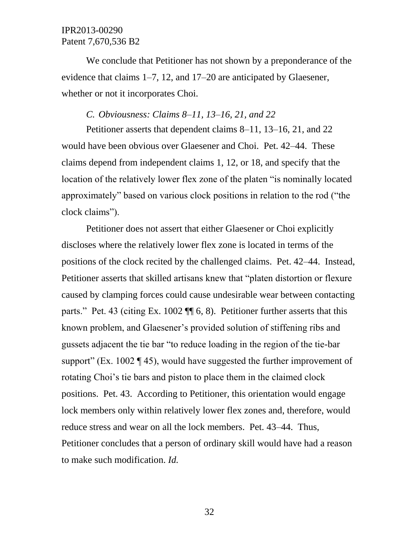We conclude that Petitioner has not shown by a preponderance of the evidence that claims 1–7, 12, and 17–20 are anticipated by Glaesener, whether or not it incorporates Choi.

### *C. Obviousness: Claims 8–11, 13–16, 21, and 22*

Petitioner asserts that dependent claims 8–11, 13–16, 21, and 22 would have been obvious over Glaesener and Choi. Pet. 42–44. These claims depend from independent claims 1, 12, or 18, and specify that the location of the relatively lower flex zone of the platen "is nominally located approximately" based on various clock positions in relation to the rod ("the clock claims").

Petitioner does not assert that either Glaesener or Choi explicitly discloses where the relatively lower flex zone is located in terms of the positions of the clock recited by the challenged claims. Pet. 42–44. Instead, Petitioner asserts that skilled artisans knew that "platen distortion or flexure caused by clamping forces could cause undesirable wear between contacting parts." Pet. 43 (citing Ex. 1002 ¶¶ 6, 8). Petitioner further asserts that this known problem, and Glaesener's provided solution of stiffening ribs and gussets adjacent the tie bar "to reduce loading in the region of the tie-bar support" (Ex. 1002  $\P$  45), would have suggested the further improvement of rotating Choi's tie bars and piston to place them in the claimed clock positions. Pet. 43. According to Petitioner, this orientation would engage lock members only within relatively lower flex zones and, therefore, would reduce stress and wear on all the lock members. Pet. 43–44. Thus, Petitioner concludes that a person of ordinary skill would have had a reason to make such modification. *Id.*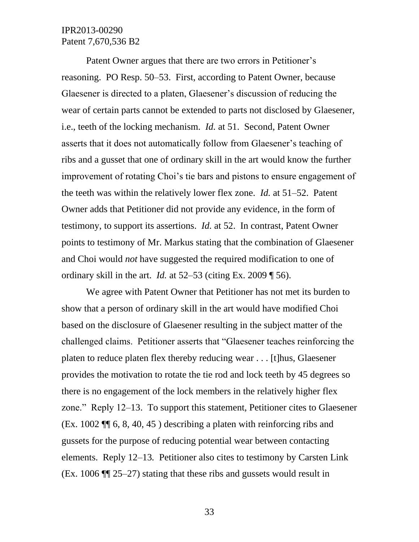Patent Owner argues that there are two errors in Petitioner's reasoning. PO Resp. 50–53. First, according to Patent Owner, because Glaesener is directed to a platen, Glaesener's discussion of reducing the wear of certain parts cannot be extended to parts not disclosed by Glaesener, i.e., teeth of the locking mechanism. *Id.* at 51. Second, Patent Owner asserts that it does not automatically follow from Glaesener's teaching of ribs and a gusset that one of ordinary skill in the art would know the further improvement of rotating Choi's tie bars and pistons to ensure engagement of the teeth was within the relatively lower flex zone. *Id.* at 51–52. Patent Owner adds that Petitioner did not provide any evidence, in the form of testimony, to support its assertions. *Id.* at 52. In contrast, Patent Owner points to testimony of Mr. Markus stating that the combination of Glaesener and Choi would *not* have suggested the required modification to one of ordinary skill in the art. *Id.* at 52–53 (citing Ex. 2009 ¶ 56).

We agree with Patent Owner that Petitioner has not met its burden to show that a person of ordinary skill in the art would have modified Choi based on the disclosure of Glaesener resulting in the subject matter of the challenged claims. Petitioner asserts that "Glaesener teaches reinforcing the platen to reduce platen flex thereby reducing wear . . . [t]hus, Glaesener provides the motivation to rotate the tie rod and lock teeth by 45 degrees so there is no engagement of the lock members in the relatively higher flex zone." Reply 12–13. To support this statement, Petitioner cites to Glaesener (Ex. 1002 ¶¶ 6, 8, 40, 45 ) describing a platen with reinforcing ribs and gussets for the purpose of reducing potential wear between contacting elements. Reply 12–13*.* Petitioner also cites to testimony by Carsten Link (Ex. 1006 ¶¶ 25–27) stating that these ribs and gussets would result in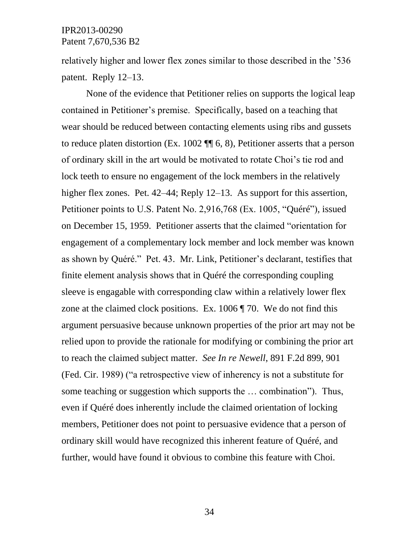relatively higher and lower flex zones similar to those described in the '536 patent. Reply 12–13.

None of the evidence that Petitioner relies on supports the logical leap contained in Petitioner's premise. Specifically, based on a teaching that wear should be reduced between contacting elements using ribs and gussets to reduce platen distortion (Ex. 1002 ¶¶ 6, 8), Petitioner asserts that a person of ordinary skill in the art would be motivated to rotate Choi's tie rod and lock teeth to ensure no engagement of the lock members in the relatively higher flex zones. Pet. 42–44; Reply 12–13. As support for this assertion, Petitioner points to U.S. Patent No. 2,916,768 (Ex. 1005, "Quéré"), issued on December 15, 1959. Petitioner asserts that the claimed "orientation for engagement of a complementary lock member and lock member was known as shown by Quéré." Pet. 43. Mr. Link, Petitioner's declarant, testifies that finite element analysis shows that in Quéré the corresponding coupling sleeve is engagable with corresponding claw within a relatively lower flex zone at the claimed clock positions. Ex. 1006 ¶ 70. We do not find this argument persuasive because unknown properties of the prior art may not be relied upon to provide the rationale for modifying or combining the prior art to reach the claimed subject matter. *See In re Newell*, 891 F.2d 899, 901 (Fed. Cir. 1989) ("a retrospective view of inherency is not a substitute for some teaching or suggestion which supports the … combination"). Thus, even if Quéré does inherently include the claimed orientation of locking members, Petitioner does not point to persuasive evidence that a person of ordinary skill would have recognized this inherent feature of Quéré, and further, would have found it obvious to combine this feature with Choi.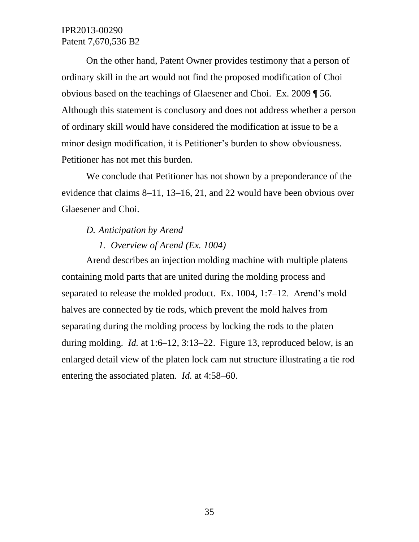On the other hand, Patent Owner provides testimony that a person of ordinary skill in the art would not find the proposed modification of Choi obvious based on the teachings of Glaesener and Choi. Ex. 2009 ¶ 56. Although this statement is conclusory and does not address whether a person of ordinary skill would have considered the modification at issue to be a minor design modification, it is Petitioner's burden to show obviousness. Petitioner has not met this burden.

We conclude that Petitioner has not shown by a preponderance of the evidence that claims 8–11, 13–16, 21, and 22 would have been obvious over Glaesener and Choi.

#### *D. Anticipation by Arend*

#### *1. Overview of Arend (Ex. 1004)*

Arend describes an injection molding machine with multiple platens containing mold parts that are united during the molding process and separated to release the molded product. Ex. 1004, 1:7–12. Arend's mold halves are connected by tie rods, which prevent the mold halves from separating during the molding process by locking the rods to the platen during molding. *Id.* at 1:6–12, 3:13–22. Figure 13, reproduced below, is an enlarged detail view of the platen lock cam nut structure illustrating a tie rod entering the associated platen. *Id.* at 4:58–60.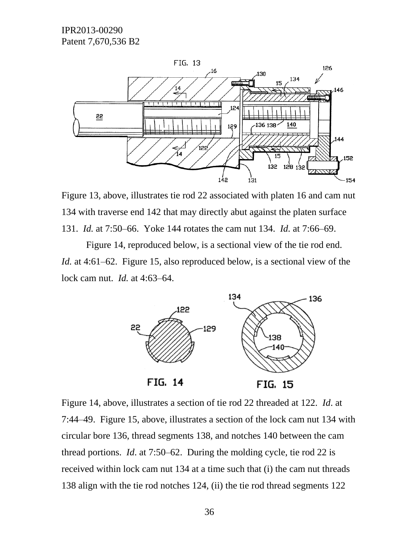



Figure 14, reproduced below, is a sectional view of the tie rod end. *Id.* at 4:61–62. Figure 15, also reproduced below, is a sectional view of the lock cam nut. *Id.* at 4:63–64.



Figure 14, above, illustrates a section of tie rod 22 threaded at 122. *Id*. at 7:44–49. Figure 15, above, illustrates a section of the lock cam nut 134 with circular bore 136, thread segments 138, and notches 140 between the cam thread portions. *Id*. at 7:50–62. During the molding cycle, tie rod 22 is received within lock cam nut 134 at a time such that (i) the cam nut threads 138 align with the tie rod notches 124, (ii) the tie rod thread segments 122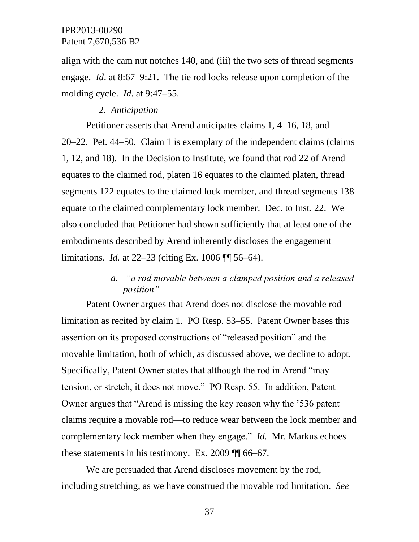align with the cam nut notches 140, and (iii) the two sets of thread segments engage. *Id*. at 8:67–9:21. The tie rod locks release upon completion of the molding cycle. *Id*. at 9:47–55.

#### *2. Anticipation*

Petitioner asserts that Arend anticipates claims 1, 4–16, 18, and 20–22. Pet. 44–50. Claim 1 is exemplary of the independent claims (claims 1, 12, and 18). In the Decision to Institute, we found that rod 22 of Arend equates to the claimed rod, platen 16 equates to the claimed platen, thread segments 122 equates to the claimed lock member, and thread segments 138 equate to the claimed complementary lock member. Dec. to Inst. 22. We also concluded that Petitioner had shown sufficiently that at least one of the embodiments described by Arend inherently discloses the engagement limitations. *Id.* at 22–23 (citing Ex. 1006 ¶¶ 56–64).

## *a. "a rod movable between a clamped position and a released position"*

Patent Owner argues that Arend does not disclose the movable rod limitation as recited by claim 1. PO Resp. 53–55. Patent Owner bases this assertion on its proposed constructions of "released position" and the movable limitation, both of which, as discussed above, we decline to adopt. Specifically, Patent Owner states that although the rod in Arend "may tension, or stretch, it does not move." PO Resp. 55. In addition, Patent Owner argues that "Arend is missing the key reason why the '536 patent claims require a movable rod—to reduce wear between the lock member and complementary lock member when they engage." *Id.* Mr. Markus echoes these statements in his testimony. Ex. 2009 ¶¶ 66–67.

We are persuaded that Arend discloses movement by the rod, including stretching, as we have construed the movable rod limitation. *See*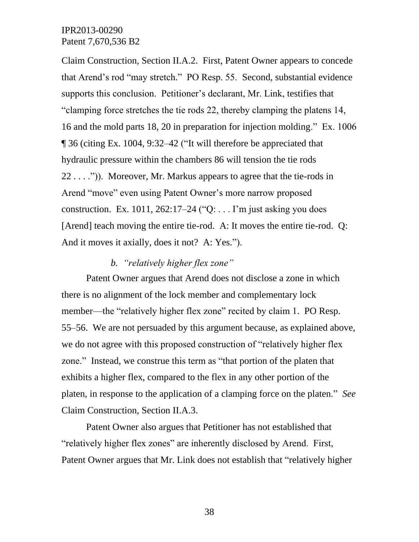Claim Construction, Section II.A.2. First, Patent Owner appears to concede that Arend's rod "may stretch." PO Resp. 55. Second, substantial evidence supports this conclusion. Petitioner's declarant, Mr. Link, testifies that "clamping force stretches the tie rods 22, thereby clamping the platens 14, 16 and the mold parts 18, 20 in preparation for injection molding." Ex. 1006 ¶ 36 (citing Ex. 1004, 9:32–42 ("It will therefore be appreciated that hydraulic pressure within the chambers 86 will tension the tie rods 22 . . . .")). Moreover, Mr. Markus appears to agree that the tie-rods in Arend "move" even using Patent Owner's more narrow proposed construction. Ex. 1011, 262:17–24 ("Q: . . . I'm just asking you does [Arend] teach moving the entire tie-rod. A: It moves the entire tie-rod. Q: And it moves it axially, does it not? A: Yes.").

#### *b. "relatively higher flex zone"*

Patent Owner argues that Arend does not disclose a zone in which there is no alignment of the lock member and complementary lock member—the "relatively higher flex zone" recited by claim 1. PO Resp. 55–56. We are not persuaded by this argument because, as explained above, we do not agree with this proposed construction of "relatively higher flex zone." Instead, we construe this term as "that portion of the platen that exhibits a higher flex, compared to the flex in any other portion of the platen, in response to the application of a clamping force on the platen." *See* Claim Construction, Section II.A.3.

Patent Owner also argues that Petitioner has not established that "relatively higher flex zones" are inherently disclosed by Arend. First, Patent Owner argues that Mr. Link does not establish that "relatively higher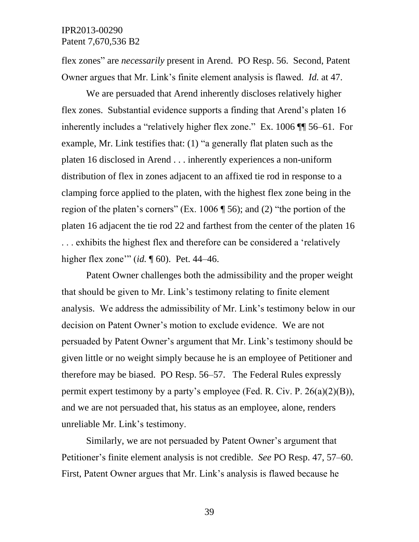flex zones" are *necessarily* present in Arend. PO Resp. 56. Second, Patent Owner argues that Mr. Link's finite element analysis is flawed. *Id.* at 47.

We are persuaded that Arend inherently discloses relatively higher flex zones. Substantial evidence supports a finding that Arend's platen 16 inherently includes a "relatively higher flex zone." Ex. 1006 ¶¶ 56–61. For example, Mr. Link testifies that: (1) "a generally flat platen such as the platen 16 disclosed in Arend . . . inherently experiences a non-uniform distribution of flex in zones adjacent to an affixed tie rod in response to a clamping force applied to the platen, with the highest flex zone being in the region of the platen's corners" (Ex. 1006 ¶ 56); and (2) "the portion of the platen 16 adjacent the tie rod 22 and farthest from the center of the platen 16 . . . exhibits the highest flex and therefore can be considered a 'relatively higher flex zone'" (*id.* ¶ 60). Pet. 44–46.

Patent Owner challenges both the admissibility and the proper weight that should be given to Mr. Link's testimony relating to finite element analysis. We address the admissibility of Mr. Link's testimony below in our decision on Patent Owner's motion to exclude evidence. We are not persuaded by Patent Owner's argument that Mr. Link's testimony should be given little or no weight simply because he is an employee of Petitioner and therefore may be biased. PO Resp. 56–57. The Federal Rules expressly permit expert testimony by a party's employee (Fed. R. Civ. P.  $26(a)(2)(B)$ ), and we are not persuaded that, his status as an employee, alone, renders unreliable Mr. Link's testimony.

Similarly, we are not persuaded by Patent Owner's argument that Petitioner's finite element analysis is not credible. *See* PO Resp. 47, 57–60. First, Patent Owner argues that Mr. Link's analysis is flawed because he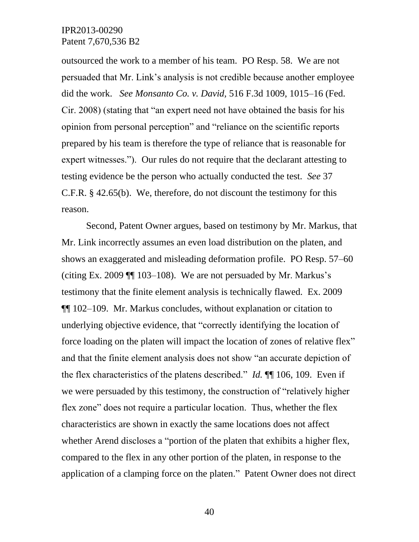outsourced the work to a member of his team. PO Resp. 58. We are not persuaded that Mr. Link's analysis is not credible because another employee did the work. *See Monsanto Co. v. David,* 516 F.3d 1009, 1015–16 (Fed. Cir. 2008) (stating that "an expert need not have obtained the basis for his opinion from personal perception" and "reliance on the scientific reports prepared by his team is therefore the type of reliance that is reasonable for expert witnesses."). Our rules do not require that the declarant attesting to testing evidence be the person who actually conducted the test. *See* 37 C.F.R. § 42.65(b). We, therefore, do not discount the testimony for this reason.

Second, Patent Owner argues, based on testimony by Mr. Markus, that Mr. Link incorrectly assumes an even load distribution on the platen, and shows an exaggerated and misleading deformation profile. PO Resp. 57–60 (citing Ex. 2009 ¶¶ 103–108). We are not persuaded by Mr. Markus's testimony that the finite element analysis is technically flawed. Ex. 2009 ¶¶ 102–109. Mr. Markus concludes, without explanation or citation to underlying objective evidence, that "correctly identifying the location of force loading on the platen will impact the location of zones of relative flex" and that the finite element analysis does not show "an accurate depiction of the flex characteristics of the platens described." *Id.* ¶¶ 106, 109. Even if we were persuaded by this testimony, the construction of "relatively higher flex zone" does not require a particular location. Thus, whether the flex characteristics are shown in exactly the same locations does not affect whether Arend discloses a "portion of the platen that exhibits a higher flex, compared to the flex in any other portion of the platen, in response to the application of a clamping force on the platen." Patent Owner does not direct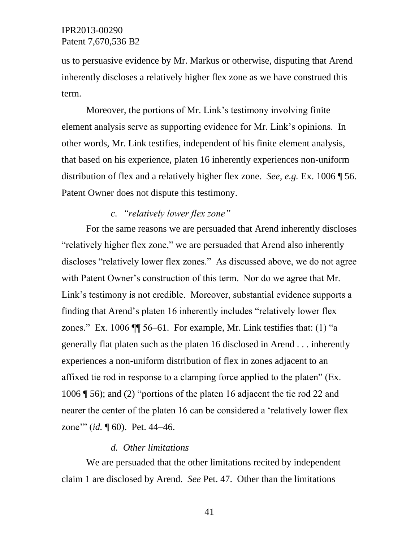us to persuasive evidence by Mr. Markus or otherwise, disputing that Arend inherently discloses a relatively higher flex zone as we have construed this term.

Moreover, the portions of Mr. Link's testimony involving finite element analysis serve as supporting evidence for Mr. Link's opinions. In other words, Mr. Link testifies, independent of his finite element analysis, that based on his experience, platen 16 inherently experiences non-uniform distribution of flex and a relatively higher flex zone. *See, e.g.* Ex. 1006 ¶ 56. Patent Owner does not dispute this testimony.

### *c. "relatively lower flex zone"*

For the same reasons we are persuaded that Arend inherently discloses "relatively higher flex zone," we are persuaded that Arend also inherently discloses "relatively lower flex zones." As discussed above, we do not agree with Patent Owner's construction of this term. Nor do we agree that Mr. Link's testimony is not credible. Moreover, substantial evidence supports a finding that Arend's platen 16 inherently includes "relatively lower flex zones." Ex. 1006  $\P$  56–61. For example, Mr. Link testifies that: (1) "a generally flat platen such as the platen 16 disclosed in Arend . . . inherently experiences a non-uniform distribution of flex in zones adjacent to an affixed tie rod in response to a clamping force applied to the platen" (Ex. 1006 ¶ 56); and (2) "portions of the platen 16 adjacent the tie rod 22 and nearer the center of the platen 16 can be considered a 'relatively lower flex zone'" (*id.* ¶ 60). Pet. 44–46.

#### *d. Other limitations*

We are persuaded that the other limitations recited by independent claim 1 are disclosed by Arend. *See* Pet. 47. Other than the limitations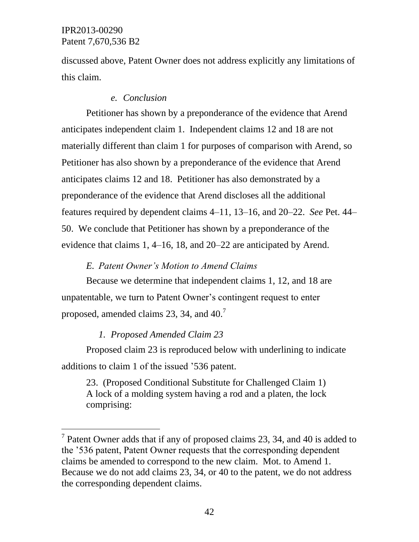l

discussed above, Patent Owner does not address explicitly any limitations of this claim.

#### *e. Conclusion*

Petitioner has shown by a preponderance of the evidence that Arend anticipates independent claim 1. Independent claims 12 and 18 are not materially different than claim 1 for purposes of comparison with Arend, so Petitioner has also shown by a preponderance of the evidence that Arend anticipates claims 12 and 18. Petitioner has also demonstrated by a preponderance of the evidence that Arend discloses all the additional features required by dependent claims 4–11, 13–16, and 20–22. *See* Pet. 44– 50. We conclude that Petitioner has shown by a preponderance of the evidence that claims 1, 4–16, 18, and 20–22 are anticipated by Arend.

### *E. Patent Owner's Motion to Amend Claims*

Because we determine that independent claims 1, 12, and 18 are unpatentable, we turn to Patent Owner's contingent request to enter proposed, amended claims 23, 34, and  $40.^7$ 

#### *1. Proposed Amended Claim 23*

Proposed claim 23 is reproduced below with underlining to indicate additions to claim 1 of the issued '536 patent.

23. (Proposed Conditional Substitute for Challenged Claim 1) A lock of a molding system having a rod and a platen, the lock comprising:

<sup>&</sup>lt;sup>7</sup> Patent Owner adds that if any of proposed claims 23, 34, and 40 is added to the '536 patent, Patent Owner requests that the corresponding dependent claims be amended to correspond to the new claim. Mot. to Amend 1. Because we do not add claims 23, 34, or 40 to the patent, we do not address the corresponding dependent claims.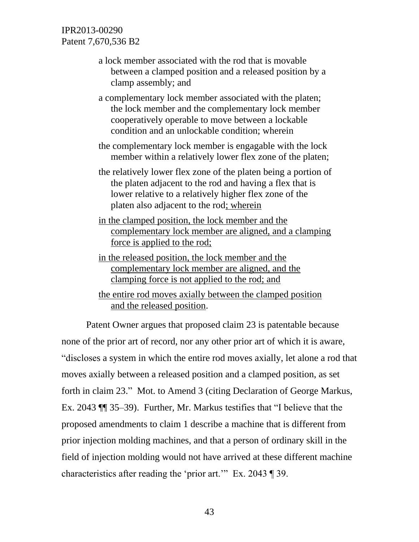- a lock member associated with the rod that is movable between a clamped position and a released position by a clamp assembly; and
- a complementary lock member associated with the platen; the lock member and the complementary lock member cooperatively operable to move between a lockable condition and an unlockable condition; wherein
- the complementary lock member is engagable with the lock member within a relatively lower flex zone of the platen;
- the relatively lower flex zone of the platen being a portion of the platen adjacent to the rod and having a flex that is lower relative to a relatively higher flex zone of the platen also adjacent to the rod; wherein
- in the clamped position, the lock member and the complementary lock member are aligned, and a clamping force is applied to the rod;
- in the released position, the lock member and the complementary lock member are aligned, and the clamping force is not applied to the rod; and
- the entire rod moves axially between the clamped position and the released position.

Patent Owner argues that proposed claim 23 is patentable because none of the prior art of record, nor any other prior art of which it is aware, "discloses a system in which the entire rod moves axially, let alone a rod that moves axially between a released position and a clamped position, as set forth in claim 23." Mot. to Amend 3 (citing Declaration of George Markus, Ex. 2043 ¶¶ 35–39). Further, Mr. Markus testifies that "I believe that the proposed amendments to claim 1 describe a machine that is different from prior injection molding machines, and that a person of ordinary skill in the field of injection molding would not have arrived at these different machine characteristics after reading the 'prior art.'" Ex. 2043 ¶ 39.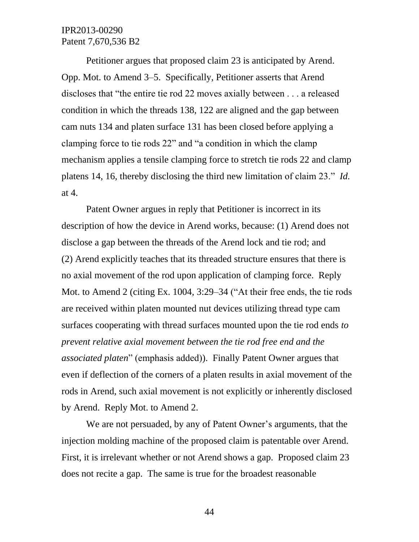Petitioner argues that proposed claim 23 is anticipated by Arend. Opp. Mot. to Amend 3–5. Specifically, Petitioner asserts that Arend discloses that "the entire tie rod 22 moves axially between . . . a released condition in which the threads 138, 122 are aligned and the gap between cam nuts 134 and platen surface 131 has been closed before applying a clamping force to tie rods 22" and "a condition in which the clamp mechanism applies a tensile clamping force to stretch tie rods 22 and clamp platens 14, 16, thereby disclosing the third new limitation of claim 23." *Id.*  at 4.

Patent Owner argues in reply that Petitioner is incorrect in its description of how the device in Arend works, because: (1) Arend does not disclose a gap between the threads of the Arend lock and tie rod; and (2) Arend explicitly teaches that its threaded structure ensures that there is no axial movement of the rod upon application of clamping force. Reply Mot. to Amend 2 (citing Ex. 1004, 3:29–34 ("At their free ends, the tie rods are received within platen mounted nut devices utilizing thread type cam surfaces cooperating with thread surfaces mounted upon the tie rod ends *to prevent relative axial movement between the tie rod free end and the associated platen*" (emphasis added)). Finally Patent Owner argues that even if deflection of the corners of a platen results in axial movement of the rods in Arend, such axial movement is not explicitly or inherently disclosed by Arend. Reply Mot. to Amend 2.

We are not persuaded, by any of Patent Owner's arguments, that the injection molding machine of the proposed claim is patentable over Arend. First, it is irrelevant whether or not Arend shows a gap. Proposed claim 23 does not recite a gap. The same is true for the broadest reasonable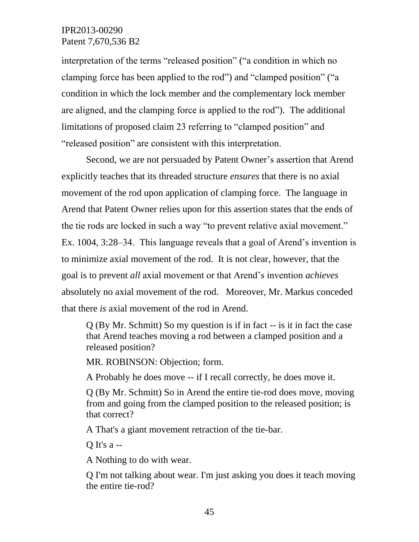interpretation of the terms "released position" ("a condition in which no clamping force has been applied to the rod") and "clamped position" ("a condition in which the lock member and the complementary lock member are aligned, and the clamping force is applied to the rod"). The additional limitations of proposed claim 23 referring to "clamped position" and "released position" are consistent with this interpretation.

Second, we are not persuaded by Patent Owner's assertion that Arend explicitly teaches that its threaded structure *ensures* that there is no axial movement of the rod upon application of clamping force. The language in Arend that Patent Owner relies upon for this assertion states that the ends of the tie rods are locked in such a way "to prevent relative axial movement." Ex. 1004, 3:28–34. This language reveals that a goal of Arend's invention is to minimize axial movement of the rod. It is not clear, however, that the goal is to prevent *all* axial movement or that Arend's invention *achieves* absolutely no axial movement of the rod. Moreover, Mr. Markus conceded that there *is* axial movement of the rod in Arend.

Q (By Mr. Schmitt) So my question is if in fact -- is it in fact the case that Arend teaches moving a rod between a clamped position and a released position?

MR. ROBINSON: Objection; form.

A Probably he does move -- if I recall correctly, he does move it.

Q (By Mr. Schmitt) So in Arend the entire tie-rod does move, moving from and going from the clamped position to the released position; is that correct?

A That's a giant movement retraction of the tie-bar.

Q It's a --

A Nothing to do with wear.

Q I'm not talking about wear. I'm just asking you does it teach moving the entire tie-rod?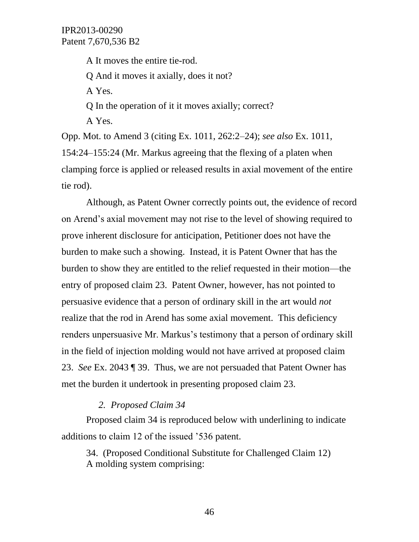A It moves the entire tie-rod. Q And it moves it axially, does it not? A Yes. Q In the operation of it it moves axially; correct? A Yes.

Opp. Mot. to Amend 3 (citing Ex. 1011, 262:2–24); *see also* Ex. 1011, 154:24–155:24 (Mr. Markus agreeing that the flexing of a platen when clamping force is applied or released results in axial movement of the entire tie rod).

Although, as Patent Owner correctly points out, the evidence of record on Arend's axial movement may not rise to the level of showing required to prove inherent disclosure for anticipation, Petitioner does not have the burden to make such a showing. Instead, it is Patent Owner that has the burden to show they are entitled to the relief requested in their motion—the entry of proposed claim 23. Patent Owner, however, has not pointed to persuasive evidence that a person of ordinary skill in the art would *not* realize that the rod in Arend has some axial movement. This deficiency renders unpersuasive Mr. Markus's testimony that a person of ordinary skill in the field of injection molding would not have arrived at proposed claim 23. *See* Ex. 2043 ¶ 39. Thus, we are not persuaded that Patent Owner has met the burden it undertook in presenting proposed claim 23.

#### *2. Proposed Claim 34*

Proposed claim 34 is reproduced below with underlining to indicate additions to claim 12 of the issued '536 patent.

34. (Proposed Conditional Substitute for Challenged Claim 12) A molding system comprising: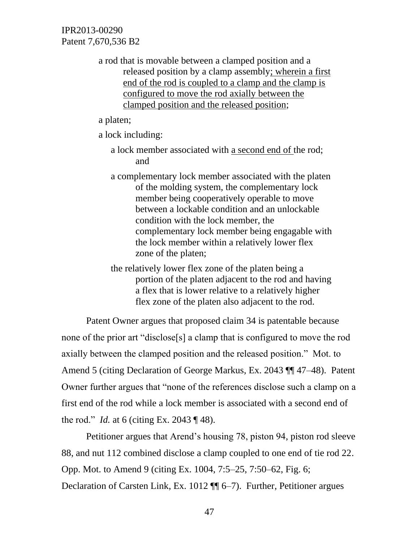> a rod that is movable between a clamped position and a released position by a clamp assembly; wherein a first end of the rod is coupled to a clamp and the clamp is configured to move the rod axially between the clamped position and the released position;

a platen;

a lock including:

- a lock member associated with a second end of the rod; and
- a complementary lock member associated with the platen of the molding system, the complementary lock member being cooperatively operable to move between a lockable condition and an unlockable condition with the lock member, the complementary lock member being engagable with the lock member within a relatively lower flex zone of the platen;
- the relatively lower flex zone of the platen being a portion of the platen adjacent to the rod and having a flex that is lower relative to a relatively higher flex zone of the platen also adjacent to the rod.

Patent Owner argues that proposed claim 34 is patentable because none of the prior art "disclose[s] a clamp that is configured to move the rod axially between the clamped position and the released position." Mot. to Amend 5 (citing Declaration of George Markus, Ex. 2043 ¶¶ 47–48). Patent Owner further argues that "none of the references disclose such a clamp on a first end of the rod while a lock member is associated with a second end of the rod." *Id.* at 6 (citing Ex. 2043 ¶ 48).

Petitioner argues that Arend's housing 78, piston 94, piston rod sleeve 88, and nut 112 combined disclose a clamp coupled to one end of tie rod 22. Opp. Mot. to Amend 9 (citing Ex. 1004, 7:5–25, 7:50–62, Fig. 6; Declaration of Carsten Link, Ex. 1012 ¶¶ 6–7). Further, Petitioner argues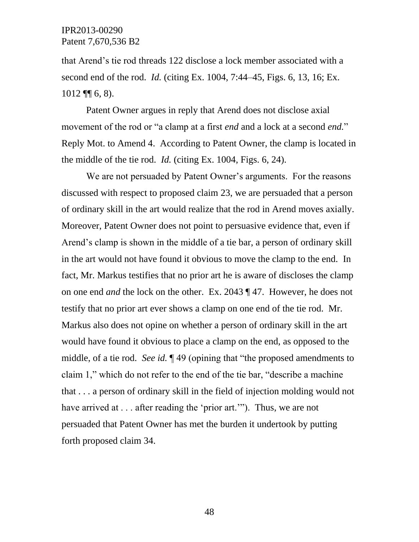that Arend's tie rod threads 122 disclose a lock member associated with a second end of the rod. *Id.* (citing Ex. 1004, 7:44–45, Figs. 6, 13, 16; Ex.  $1012$  ¶ [6, 8).

Patent Owner argues in reply that Arend does not disclose axial movement of the rod or "a clamp at a first *end* and a lock at a second *end.*" Reply Mot. to Amend 4. According to Patent Owner, the clamp is located in the middle of the tie rod. *Id.* (citing Ex. 1004, Figs. 6, 24).

We are not persuaded by Patent Owner's arguments. For the reasons discussed with respect to proposed claim 23, we are persuaded that a person of ordinary skill in the art would realize that the rod in Arend moves axially. Moreover, Patent Owner does not point to persuasive evidence that, even if Arend's clamp is shown in the middle of a tie bar, a person of ordinary skill in the art would not have found it obvious to move the clamp to the end. In fact, Mr. Markus testifies that no prior art he is aware of discloses the clamp on one end *and* the lock on the other. Ex. 2043 ¶ 47. However, he does not testify that no prior art ever shows a clamp on one end of the tie rod. Mr. Markus also does not opine on whether a person of ordinary skill in the art would have found it obvious to place a clamp on the end, as opposed to the middle, of a tie rod. *See id.* ¶ 49 (opining that "the proposed amendments to claim 1," which do not refer to the end of the tie bar, "describe a machine that . . . a person of ordinary skill in the field of injection molding would not have arrived at . . . after reading the 'prior art.'"). Thus, we are not persuaded that Patent Owner has met the burden it undertook by putting forth proposed claim 34.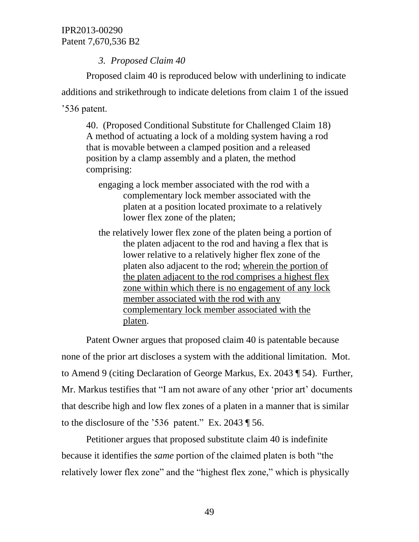## *3. Proposed Claim 40*

Proposed claim 40 is reproduced below with underlining to indicate additions and strikethrough to indicate deletions from claim 1 of the issued '536 patent.

40. (Proposed Conditional Substitute for Challenged Claim 18) A method of actuating a lock of a molding system having a rod that is movable between a clamped position and a released position by a clamp assembly and a platen, the method comprising:

- engaging a lock member associated with the rod with a complementary lock member associated with the platen at a position located proximate to a relatively lower flex zone of the platen;
- the relatively lower flex zone of the platen being a portion of the platen adjacent to the rod and having a flex that is lower relative to a relatively higher flex zone of the platen also adjacent to the rod; wherein the portion of the platen adjacent to the rod comprises a highest flex zone within which there is no engagement of any lock member associated with the rod with any complementary lock member associated with the platen.

Patent Owner argues that proposed claim 40 is patentable because none of the prior art discloses a system with the additional limitation. Mot. to Amend 9 (citing Declaration of George Markus, Ex. 2043 ¶ 54). Further, Mr. Markus testifies that "I am not aware of any other 'prior art' documents that describe high and low flex zones of a platen in a manner that is similar to the disclosure of the '536 patent." Ex. 2043 ¶ 56.

Petitioner argues that proposed substitute claim 40 is indefinite because it identifies the *same* portion of the claimed platen is both "the relatively lower flex zone" and the "highest flex zone," which is physically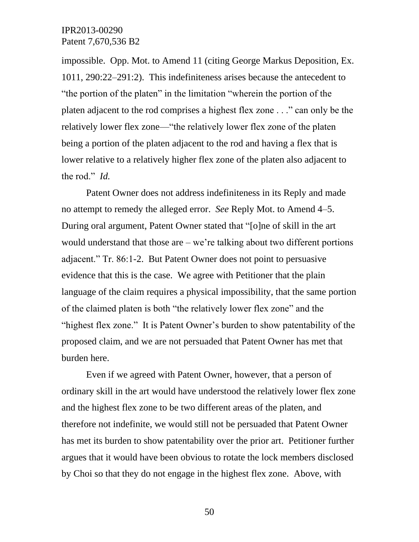impossible. Opp. Mot. to Amend 11 (citing George Markus Deposition, Ex. 1011, 290:22–291:2). This indefiniteness arises because the antecedent to "the portion of the platen" in the limitation "wherein the portion of the platen adjacent to the rod comprises a highest flex zone . . ." can only be the relatively lower flex zone—"the relatively lower flex zone of the platen being a portion of the platen adjacent to the rod and having a flex that is lower relative to a relatively higher flex zone of the platen also adjacent to the rod." *Id.*

Patent Owner does not address indefiniteness in its Reply and made no attempt to remedy the alleged error. *See* Reply Mot. to Amend 4–5. During oral argument, Patent Owner stated that "[o]ne of skill in the art would understand that those are  $-$  we're talking about two different portions adjacent." Tr. 86:1-2. But Patent Owner does not point to persuasive evidence that this is the case. We agree with Petitioner that the plain language of the claim requires a physical impossibility, that the same portion of the claimed platen is both "the relatively lower flex zone" and the "highest flex zone." It is Patent Owner's burden to show patentability of the proposed claim, and we are not persuaded that Patent Owner has met that burden here.

Even if we agreed with Patent Owner, however, that a person of ordinary skill in the art would have understood the relatively lower flex zone and the highest flex zone to be two different areas of the platen, and therefore not indefinite, we would still not be persuaded that Patent Owner has met its burden to show patentability over the prior art. Petitioner further argues that it would have been obvious to rotate the lock members disclosed by Choi so that they do not engage in the highest flex zone. Above, with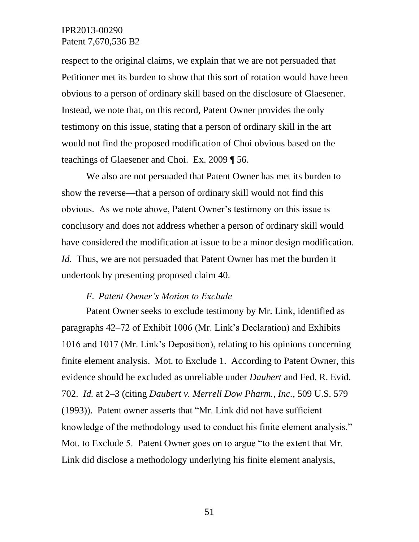respect to the original claims, we explain that we are not persuaded that Petitioner met its burden to show that this sort of rotation would have been obvious to a person of ordinary skill based on the disclosure of Glaesener. Instead, we note that, on this record, Patent Owner provides the only testimony on this issue, stating that a person of ordinary skill in the art would not find the proposed modification of Choi obvious based on the teachings of Glaesener and Choi. Ex. 2009 ¶ 56.

We also are not persuaded that Patent Owner has met its burden to show the reverse—that a person of ordinary skill would not find this obvious. As we note above, Patent Owner's testimony on this issue is conclusory and does not address whether a person of ordinary skill would have considered the modification at issue to be a minor design modification. *Id.* Thus, we are not persuaded that Patent Owner has met the burden it undertook by presenting proposed claim 40.

#### *F. Patent Owner's Motion to Exclude*

Patent Owner seeks to exclude testimony by Mr. Link, identified as paragraphs 42–72 of Exhibit 1006 (Mr. Link's Declaration) and Exhibits 1016 and 1017 (Mr. Link's Deposition), relating to his opinions concerning finite element analysis. Mot. to Exclude 1. According to Patent Owner, this evidence should be excluded as unreliable under *Daubert* and Fed. R. Evid. 702. *Id.* at 2–3 (citing *Daubert v. Merrell Dow Pharm., Inc.*, 509 U.S. 579 (1993)). Patent owner asserts that "Mr. Link did not have sufficient knowledge of the methodology used to conduct his finite element analysis." Mot. to Exclude 5. Patent Owner goes on to argue "to the extent that Mr. Link did disclose a methodology underlying his finite element analysis,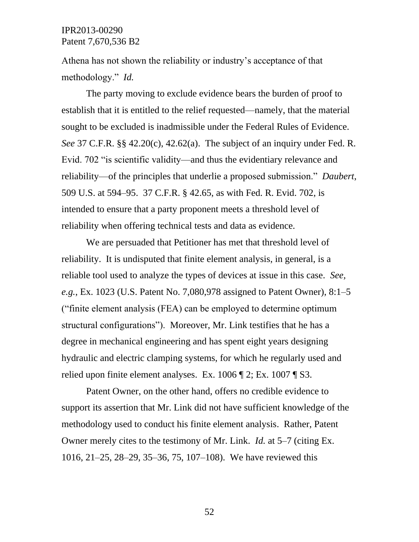Athena has not shown the reliability or industry's acceptance of that methodology." *Id.*

The party moving to exclude evidence bears the burden of proof to establish that it is entitled to the relief requested—namely, that the material sought to be excluded is inadmissible under the Federal Rules of Evidence. *See* 37 C.F.R. §§ 42.20(c), 42.62(a). The subject of an inquiry under Fed. R. Evid. 702 "is scientific validity—and thus the evidentiary relevance and reliability—of the principles that underlie a proposed submission." *Daubert*, 509 U.S. at 594–95. 37 C.F.R. § 42.65, as with Fed. R. Evid. 702, is intended to ensure that a party proponent meets a threshold level of reliability when offering technical tests and data as evidence.

We are persuaded that Petitioner has met that threshold level of reliability. It is undisputed that finite element analysis, in general, is a reliable tool used to analyze the types of devices at issue in this case. *See, e.g.*, Ex. 1023 (U.S. Patent No. 7,080,978 assigned to Patent Owner), 8:1–5 ("finite element analysis (FEA) can be employed to determine optimum structural configurations"). Moreover, Mr. Link testifies that he has a degree in mechanical engineering and has spent eight years designing hydraulic and electric clamping systems, for which he regularly used and relied upon finite element analyses. Ex. 1006 ¶ 2; Ex. 1007 ¶ S3.

Patent Owner, on the other hand, offers no credible evidence to support its assertion that Mr. Link did not have sufficient knowledge of the methodology used to conduct his finite element analysis. Rather, Patent Owner merely cites to the testimony of Mr. Link. *Id.* at 5–7 (citing Ex. 1016, 21–25, 28–29, 35–36, 75, 107–108). We have reviewed this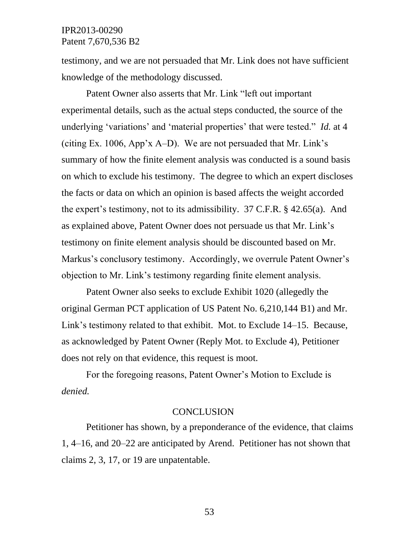testimony, and we are not persuaded that Mr. Link does not have sufficient knowledge of the methodology discussed.

Patent Owner also asserts that Mr. Link "left out important experimental details, such as the actual steps conducted, the source of the underlying 'variations' and 'material properties' that were tested." *Id.* at 4 (citing Ex. 1006, App'x A–D). We are not persuaded that Mr. Link's summary of how the finite element analysis was conducted is a sound basis on which to exclude his testimony. The degree to which an expert discloses the facts or data on which an opinion is based affects the weight accorded the expert's testimony, not to its admissibility. 37 C.F.R. § 42.65(a). And as explained above, Patent Owner does not persuade us that Mr. Link's testimony on finite element analysis should be discounted based on Mr. Markus's conclusory testimony. Accordingly, we overrule Patent Owner's objection to Mr. Link's testimony regarding finite element analysis.

Patent Owner also seeks to exclude Exhibit 1020 (allegedly the original German PCT application of US Patent No. 6,210,144 B1) and Mr. Link's testimony related to that exhibit. Mot. to Exclude 14–15. Because, as acknowledged by Patent Owner (Reply Mot. to Exclude 4), Petitioner does not rely on that evidence, this request is moot.

For the foregoing reasons, Patent Owner's Motion to Exclude is *denied.*

#### **CONCLUSION**

Petitioner has shown, by a preponderance of the evidence, that claims 1, 4–16, and 20–22 are anticipated by Arend. Petitioner has not shown that claims 2, 3, 17, or 19 are unpatentable.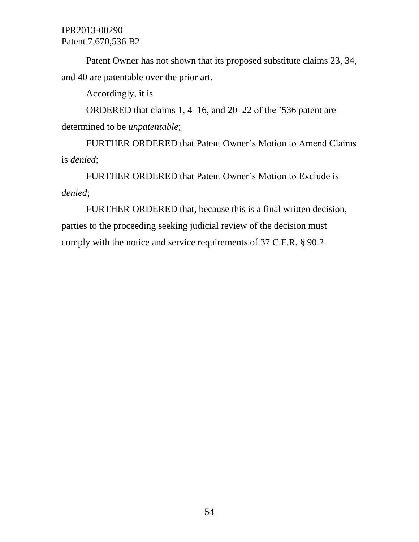Patent Owner has not shown that its proposed substitute claims 23, 34, and 40 are patentable over the prior art.

Accordingly, it is

ORDERED that claims 1, 4–16, and 20–22 of the '536 patent are determined to be *unpatentable*;

FURTHER ORDERED that Patent Owner's Motion to Amend Claims is *denied*;

FURTHER ORDERED that Patent Owner's Motion to Exclude is *denied*;

FURTHER ORDERED that, because this is a final written decision, parties to the proceeding seeking judicial review of the decision must comply with the notice and service requirements of 37 C.F.R. § 90.2.